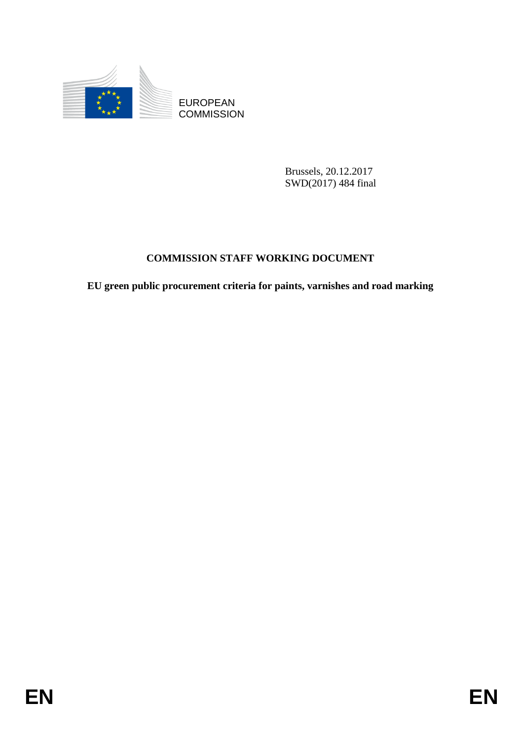

**COMMISSION** 

Brussels, 20.12.2017 SWD(2017) 484 final

## **COMMISSION STAFF WORKING DOCUMENT**

EUROPEAN<br>
ECOMMISSION<br>
ENGINEERS COMMISSION<br>
ENGINEERS SEAFF WORKING DOCUMENT<br>
EN green public procurement criteria for paints, variables and road marking<br>
EN **EU green public procurement criteria for paints, varnishes and road marking**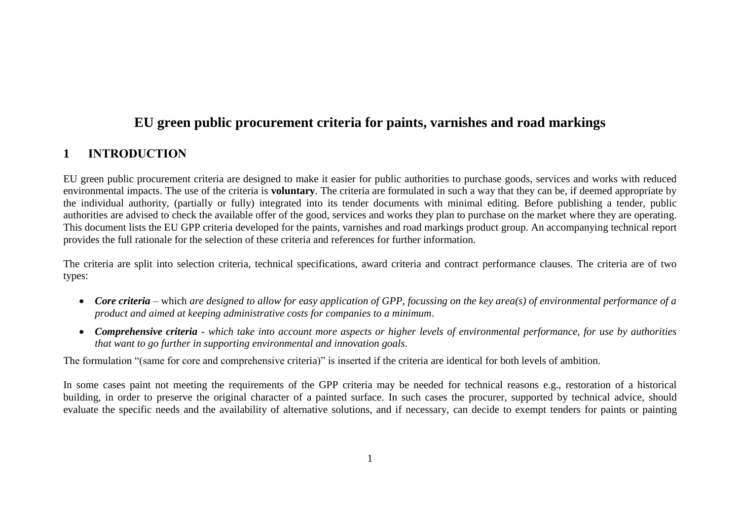## **EU green public procurement criteria for paints, varnishes and road markings**

## **1 INTRODUCTION**

EU green public procurement criteria are designed to make it easier for public authorities to purchase goods, services and works with reduced environmental impacts. The use of the criteria is **voluntary**. The criteria are formulated in such a way that they can be, if deemed appropriate by the individual authority, (partially or fully) integrated into its tender documents with minimal editing. Before publishing a tender, public authorities are advised to check the available offer of the good, services and works they plan to purchase on the market where they are operating. This document lists the EU GPP criteria developed for the paints, varnishes and road markings product group. An accompanying technical report provides the full rationale for the selection of these criteria and references for further information.

The criteria are split into selection criteria, technical specifications, award criteria and contract performance clauses. The criteria are of two types:

- *Core criteria* which *are designed to allow for easy application of GPP, focussing on the key area(s) of environmental performance of a product and aimed at keeping administrative costs for companies to a minimum*.
- *Comprehensive criteria - which take into account more aspects or higher levels of environmental performance, for use by authorities that want to go further in supporting environmental and innovation goals*.

The formulation "(same for core and comprehensive criteria)" is inserted if the criteria are identical for both levels of ambition.

In some cases paint not meeting the requirements of the GPP criteria may be needed for technical reasons e.g., restoration of a historical building, in order to preserve the original character of a painted surface. In such cases the procurer, supported by technical advice, should evaluate the specific needs and the availability of alternative solutions, and if necessary, can decide to exempt tenders for paints or painting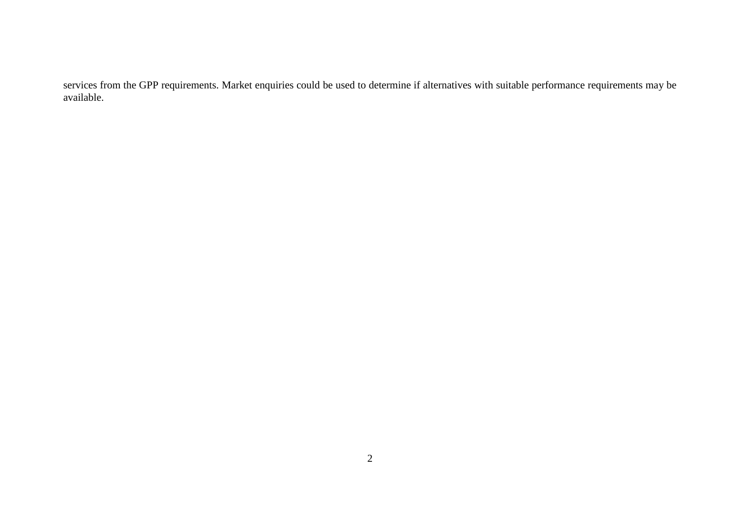services from the GPP requirements. Market enquiries could be used to determine if alternatives with suitable performance requirements may be available.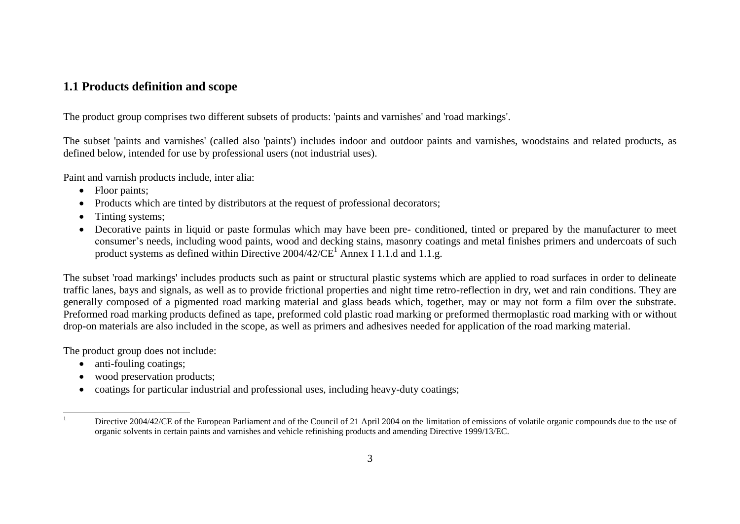## **1.1 Products definition and scope**

The product group comprises two different subsets of products: 'paints and varnishes' and 'road markings'.

The subset 'paints and varnishes' (called also 'paints') includes indoor and outdoor paints and varnishes, woodstains and related products, as defined below, intended for use by professional users (not industrial uses).

Paint and varnish products include, inter alia:

- Floor paints;
- Products which are tinted by distributors at the request of professional decorators;
- Tinting systems;
- Decorative paints in liquid or paste formulas which may have been pre- conditioned, tinted or prepared by the manufacturer to meet consumer's needs, including wood paints, wood and decking stains, masonry coatings and metal finishes primers and undercoats of such product systems as defined within Directive  $2004/42/CE^1$  Annex I 1.1.d and 1.1.g.

The subset 'road markings' includes products such as paint or structural plastic systems which are applied to road surfaces in order to delineate traffic lanes, bays and signals, as well as to provide frictional properties and night time retro-reflection in dry, wet and rain conditions. They are generally composed of a pigmented road marking material and glass beads which, together, may or may not form a film over the substrate. Preformed road marking products defined as tape, preformed cold plastic road marking or preformed thermoplastic road marking with or without drop-on materials are also included in the scope, as well as primers and adhesives needed for application of the road marking material.

The product group does not include:

• anti-fouling coatings;

 $\mathbf{1}$ 

- wood preservation products;
- coatings for particular industrial and professional uses, including heavy-duty coatings;

Directive 2004/42/CE of the European Parliament and of the Council of 21 April 2004 on the limitation of emissions of volatile organic compounds due to the use of organic solvents in certain paints and varnishes and vehicle refinishing products and amending Directive 1999/13/EC.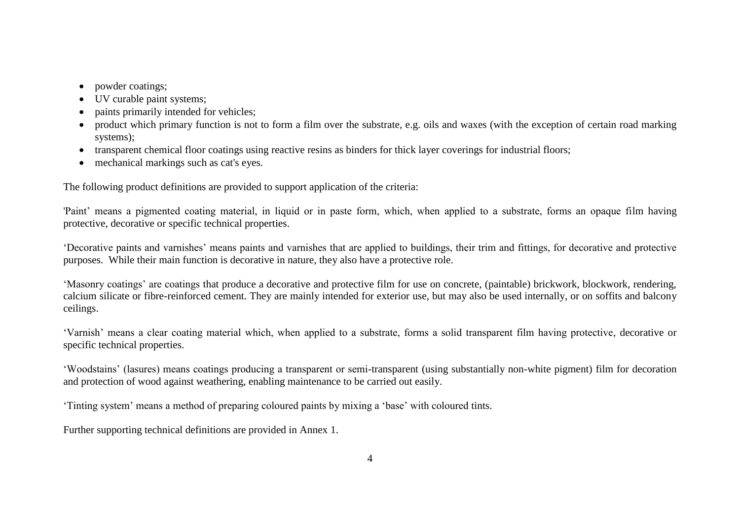- powder coatings:
- UV curable paint systems;
- paints primarily intended for vehicles;
- product which primary function is not to form a film over the substrate, e.g. oils and waxes (with the exception of certain road marking systems);
- transparent chemical floor coatings using reactive resins as binders for thick layer coverings for industrial floors;
- mechanical markings such as cat's eyes.

The following product definitions are provided to support application of the criteria:

'Paint' means a pigmented coating material, in liquid or in paste form, which, when applied to a substrate, forms an opaque film having protective, decorative or specific technical properties.

'Decorative paints and varnishes' means paints and varnishes that are applied to buildings, their trim and fittings, for decorative and protective purposes. While their main function is decorative in nature, they also have a protective role.

'Masonry coatings' are coatings that produce a decorative and protective film for use on concrete, (paintable) brickwork, blockwork, rendering, calcium silicate or fibre-reinforced cement. They are mainly intended for exterior use, but may also be used internally, or on soffits and balcony ceilings.

'Varnish' means a clear coating material which, when applied to a substrate, forms a solid transparent film having protective, decorative or specific technical properties.

'Woodstains' (lasures) means coatings producing a transparent or semi-transparent (using substantially non-white pigment) film for decoration and protection of wood against weathering, enabling maintenance to be carried out easily.

'Tinting system' means a method of preparing coloured paints by mixing a 'base' with coloured tints.

Further supporting technical definitions are provided in Annex 1.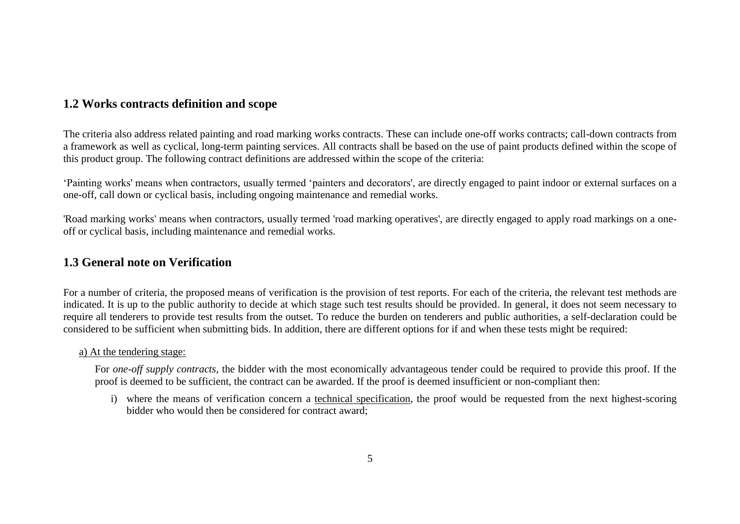## **1.2 Works contracts definition and scope**

The criteria also address related painting and road marking works contracts. These can include one-off works contracts; call-down contracts from a framework as well as cyclical, long-term painting services. All contracts shall be based on the use of paint products defined within the scope of this product group. The following contract definitions are addressed within the scope of the criteria:

'Painting works' means when contractors, usually termed 'painters and decorators', are directly engaged to paint indoor or external surfaces on a one-off, call down or cyclical basis, including ongoing maintenance and remedial works.

'Road marking works' means when contractors, usually termed 'road marking operatives', are directly engaged to apply road markings on a oneoff or cyclical basis, including maintenance and remedial works.

## **1.3 General note on Verification**

For a number of criteria, the proposed means of verification is the provision of test reports. For each of the criteria, the relevant test methods are indicated. It is up to the public authority to decide at which stage such test results should be provided. In general, it does not seem necessary to require all tenderers to provide test results from the outset. To reduce the burden on tenderers and public authorities, a self-declaration could be considered to be sufficient when submitting bids. In addition, there are different options for if and when these tests might be required:

#### a) At the tendering stage:

For *one-off supply contracts*, the bidder with the most economically advantageous tender could be required to provide this proof. If the proof is deemed to be sufficient, the contract can be awarded. If the proof is deemed insufficient or non-compliant then:

i) where the means of verification concern a technical specification, the proof would be requested from the next highest-scoring bidder who would then be considered for contract award;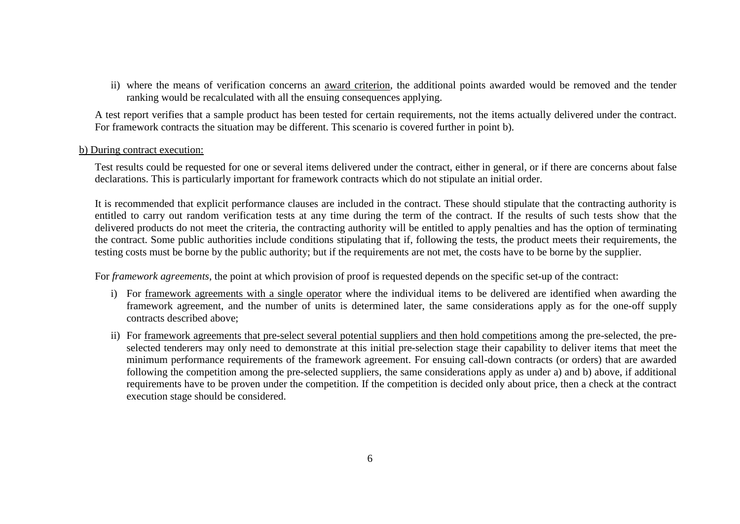ii) where the means of verification concerns an award criterion, the additional points awarded would be removed and the tender ranking would be recalculated with all the ensuing consequences applying.

A test report verifies that a sample product has been tested for certain requirements, not the items actually delivered under the contract. For framework contracts the situation may be different. This scenario is covered further in point b).

#### b) During contract execution:

Test results could be requested for one or several items delivered under the contract, either in general, or if there are concerns about false declarations. This is particularly important for framework contracts which do not stipulate an initial order.

It is recommended that explicit performance clauses are included in the contract. These should stipulate that the contracting authority is entitled to carry out random verification tests at any time during the term of the contract. If the results of such tests show that the delivered products do not meet the criteria, the contracting authority will be entitled to apply penalties and has the option of terminating the contract. Some public authorities include conditions stipulating that if, following the tests, the product meets their requirements, the testing costs must be borne by the public authority; but if the requirements are not met, the costs have to be borne by the supplier.

For *framework agreements*, the point at which provision of proof is requested depends on the specific set-up of the contract:

- i) For framework agreements with a single operator where the individual items to be delivered are identified when awarding the framework agreement, and the number of units is determined later, the same considerations apply as for the one-off supply contracts described above;
- ii) For framework agreements that pre-select several potential suppliers and then hold competitions among the pre-selected, the preselected tenderers may only need to demonstrate at this initial pre-selection stage their capability to deliver items that meet the minimum performance requirements of the framework agreement. For ensuing call-down contracts (or orders) that are awarded following the competition among the pre-selected suppliers, the same considerations apply as under a) and b) above, if additional requirements have to be proven under the competition. If the competition is decided only about price, then a check at the contract execution stage should be considered.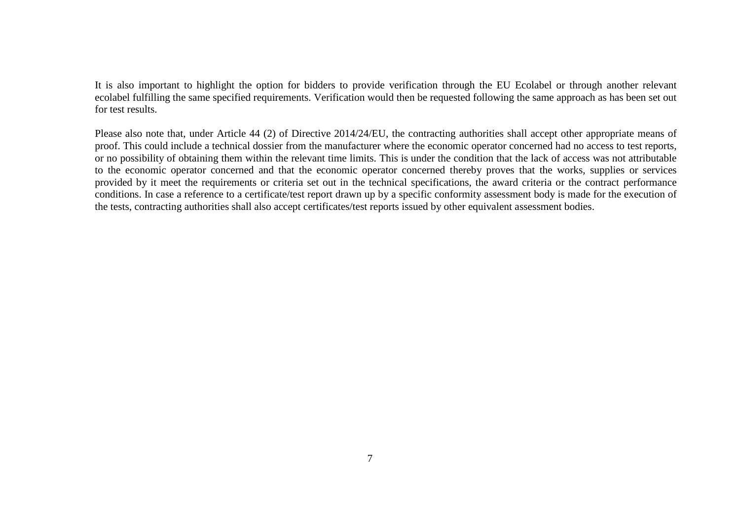It is also important to highlight the option for bidders to provide verification through the EU Ecolabel or through another relevant ecolabel fulfilling the same specified requirements. Verification would then be requested following the same approach as has been set out for test results.

Please also note that, under Article 44 (2) of Directive 2014/24/EU, the contracting authorities shall accept other appropriate means of proof. This could include a technical dossier from the manufacturer where the economic operator concerned had no access to test reports, or no possibility of obtaining them within the relevant time limits. This is under the condition that the lack of access was not attributable to the economic operator concerned and that the economic operator concerned thereby proves that the works, supplies or services provided by it meet the requirements or criteria set out in the technical specifications, the award criteria or the contract performance conditions. In case a reference to a certificate/test report drawn up by a specific conformity assessment body is made for the execution of the tests, contracting authorities shall also accept certificates/test reports issued by other equivalent assessment bodies.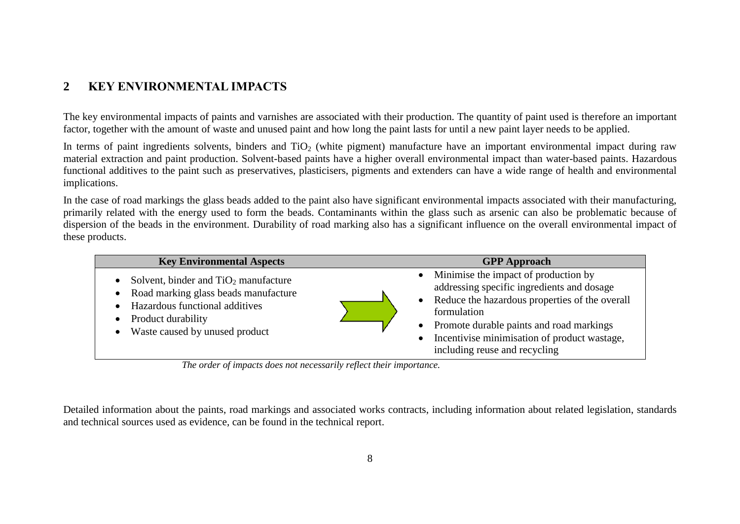## **2 KEY ENVIRONMENTAL IMPACTS**

The key environmental impacts of paints and varnishes are associated with their production. The quantity of paint used is therefore an important factor, together with the amount of waste and unused paint and how long the paint lasts for until a new paint layer needs to be applied.

In terms of paint ingredients solvents, binders and  $TiO<sub>2</sub>$  (white pigment) manufacture have an important environmental impact during raw material extraction and paint production. Solvent-based paints have a higher overall environmental impact than water-based paints. Hazardous functional additives to the paint such as preservatives, plasticisers, pigments and extenders can have a wide range of health and environmental implications.

In the case of road markings the glass beads added to the paint also have significant environmental impacts associated with their manufacturing, primarily related with the energy used to form the beads. Contaminants within the glass such as arsenic can also be problematic because of dispersion of the beads in the environment. Durability of road marking also has a significant influence on the overall environmental impact of these products.

| <b>Key Environmental Aspects</b>                                                                                                                                                                   | <b>GPP</b> Approach                                                                                                                                                                                                                                                                             |
|----------------------------------------------------------------------------------------------------------------------------------------------------------------------------------------------------|-------------------------------------------------------------------------------------------------------------------------------------------------------------------------------------------------------------------------------------------------------------------------------------------------|
| Solvent, binder and $TiO2$ manufacture<br>$\bullet$<br>Road marking glass beads manufacture<br>$\bullet$<br>Hazardous functional additives<br>Product durability<br>Waste caused by unused product | Minimise the impact of production by<br>$\bullet$<br>addressing specific ingredients and dosage<br>• Reduce the hazardous properties of the overall<br>formulation<br>Promote durable paints and road markings<br>Incentivise minimisation of product wastage,<br>including reuse and recycling |

*The order of impacts does not necessarily reflect their importance.*

Detailed information about the paints, road markings and associated works contracts, including information about related legislation, standards and technical sources used as evidence, can be found in the technical report.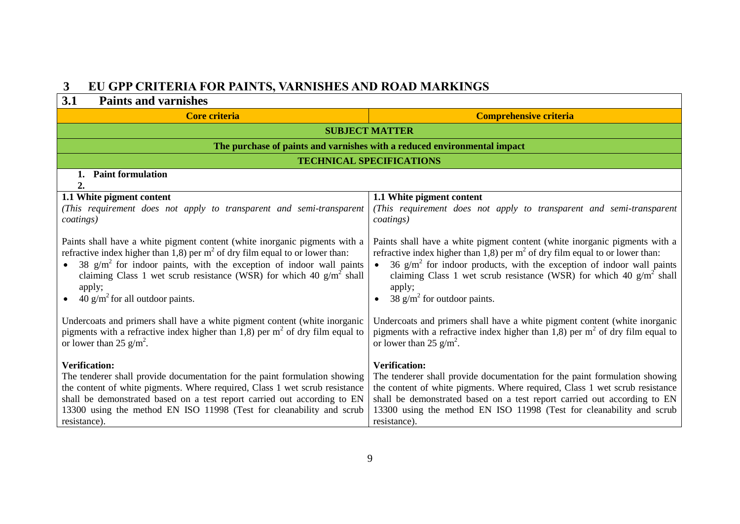# **3 EU GPP CRITERIA FOR PAINTS, VARNISHES AND ROAD MARKINGS**

| 3.1<br><b>Paints and varnishes</b>                                                                                                                                                                                                                                                                                                                                  |                                                                                                                                                                                                                                                                                                                                                               |  |
|---------------------------------------------------------------------------------------------------------------------------------------------------------------------------------------------------------------------------------------------------------------------------------------------------------------------------------------------------------------------|---------------------------------------------------------------------------------------------------------------------------------------------------------------------------------------------------------------------------------------------------------------------------------------------------------------------------------------------------------------|--|
| <b>Core criteria</b>                                                                                                                                                                                                                                                                                                                                                | <b>Comprehensive criteria</b>                                                                                                                                                                                                                                                                                                                                 |  |
|                                                                                                                                                                                                                                                                                                                                                                     | <b>SUBJECT MATTER</b>                                                                                                                                                                                                                                                                                                                                         |  |
|                                                                                                                                                                                                                                                                                                                                                                     | The purchase of paints and varnishes with a reduced environmental impact                                                                                                                                                                                                                                                                                      |  |
|                                                                                                                                                                                                                                                                                                                                                                     | <b>TECHNICAL SPECIFICATIONS</b>                                                                                                                                                                                                                                                                                                                               |  |
| <b>Paint formulation</b><br>1.                                                                                                                                                                                                                                                                                                                                      |                                                                                                                                                                                                                                                                                                                                                               |  |
| 2.<br>1.1 White pigment content                                                                                                                                                                                                                                                                                                                                     | 1.1 White pigment content                                                                                                                                                                                                                                                                                                                                     |  |
| (This requirement does not apply to transparent and semi-transparent<br><i>coatings</i> )                                                                                                                                                                                                                                                                           | (This requirement does not apply to transparent and semi-transparent<br>coatings)                                                                                                                                                                                                                                                                             |  |
| Paints shall have a white pigment content (white inorganic pigments with a<br>refractive index higher than 1,8) per $m2$ of dry film equal to or lower than:<br>38 $g/m2$ for indoor paints, with the exception of indoor wall paints<br>claiming Class 1 wet scrub resistance (WSR) for which 40 $g/m^2$ shall<br>apply;<br>40 $\rm g/m^2$ for all outdoor paints. | Paints shall have a white pigment content (white inorganic pigments with a<br>refractive index higher than 1,8) per $m2$ of dry film equal to or lower than:<br>36 $g/m2$ for indoor products, with the exception of indoor wall paints<br>claiming Class 1 wet scrub resistance (WSR) for which 40 $g/m^2$ shall<br>apply;<br>38 $g/m^2$ for outdoor paints. |  |
| Undercoats and primers shall have a white pigment content (white inorganic<br>pigments with a refractive index higher than 1,8) per $m2$ of dry film equal to<br>or lower than 25 $g/m^2$ .                                                                                                                                                                         | Undercoats and primers shall have a white pigment content (white inorganic<br>pigments with a refractive index higher than 1,8) per $m2$ of dry film equal to<br>or lower than 25 $g/m^2$ .                                                                                                                                                                   |  |
| <b>Verification:</b><br>The tenderer shall provide documentation for the paint formulation showing<br>the content of white pigments. Where required, Class 1 wet scrub resistance<br>shall be demonstrated based on a test report carried out according to EN<br>13300 using the method EN ISO 11998 (Test for cleanability and scrub<br>resistance).               | <b>Verification:</b><br>The tenderer shall provide documentation for the paint formulation showing<br>the content of white pigments. Where required, Class 1 wet scrub resistance<br>shall be demonstrated based on a test report carried out according to EN<br>13300 using the method EN ISO 11998 (Test for cleanability and scrub<br>resistance).         |  |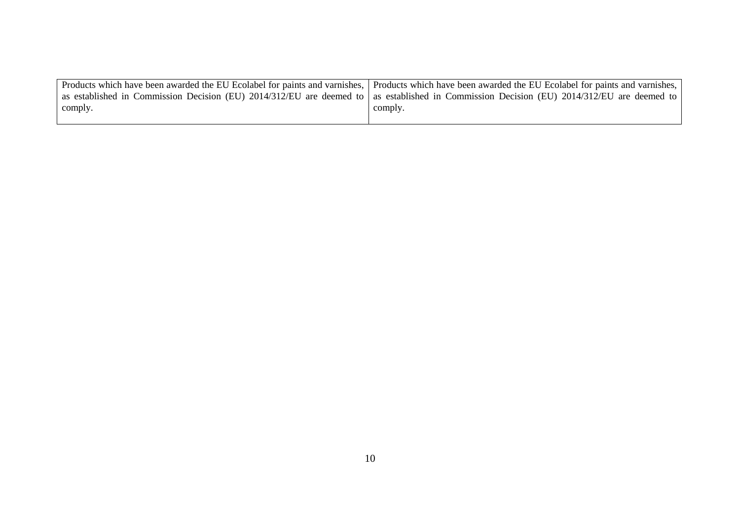|         | Products which have been awarded the EU Ecolabel for paints and varnishes,   Products which have been awarded the EU Ecolabel for paints and varnishes, |
|---------|---------------------------------------------------------------------------------------------------------------------------------------------------------|
|         | as established in Commission Decision (EU) 2014/312/EU are deemed to as established in Commission Decision (EU) 2014/312/EU are deemed to               |
| comply. | comply.                                                                                                                                                 |
|         |                                                                                                                                                         |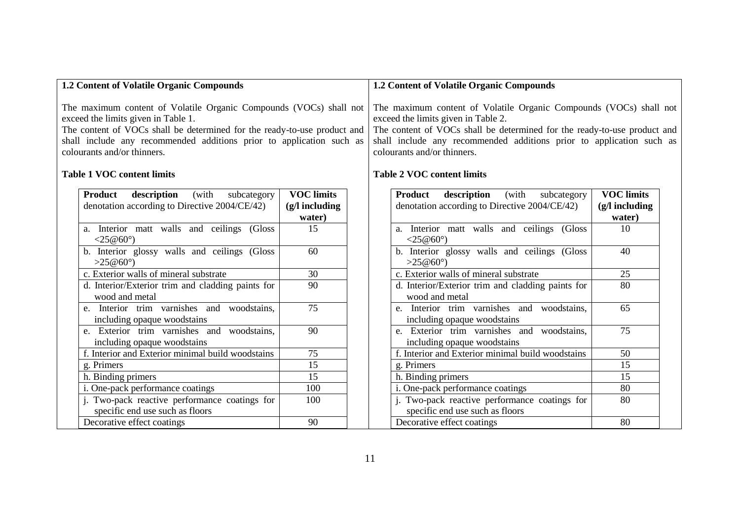<span id="page-11-0"></span>

| 1.2 Content of Volatile Organic Compounds                                                                                                                                                                                                                                                                                         |                                                 | 1.2 Content of Volatile Organic Compounds                                                                                                                                                                                                                                                                                         |
|-----------------------------------------------------------------------------------------------------------------------------------------------------------------------------------------------------------------------------------------------------------------------------------------------------------------------------------|-------------------------------------------------|-----------------------------------------------------------------------------------------------------------------------------------------------------------------------------------------------------------------------------------------------------------------------------------------------------------------------------------|
| The maximum content of Volatile Organic Compounds (VOCs) shall not<br>exceed the limits given in Table 1.<br>The content of VOCs shall be determined for the ready-to-use product and<br>shall include any recommended additions prior to application such as<br>colourants and/or thinners.<br><b>Table 1 VOC content limits</b> |                                                 | The maximum content of Volatile Organic Compounds (VOCs) shall not<br>exceed the limits given in Table 2.<br>The content of VOCs shall be determined for the ready-to-use product and<br>shall include any recommended additions prior to application such as<br>colourants and/or thinners.<br><b>Table 2 VOC content limits</b> |
| <b>Product</b><br>description<br>(with<br>subcategory<br>denotation according to Directive 2004/CE/42)                                                                                                                                                                                                                            | <b>VOC</b> limits<br>$(g/l$ including<br>water) | <b>VOC</b> limits<br>Product<br>description<br>(with<br>subcategory<br>denotation according to Directive 2004/CE/42)<br>$(g/l$ including<br>water)                                                                                                                                                                                |
| a. Interior matt walls and ceilings (Gloss<br><25@60 $^{\circ}$ )                                                                                                                                                                                                                                                                 | 15                                              | a. Interior matt walls and ceilings (Gloss<br>10<br><25@60 $^{\circ}$ )                                                                                                                                                                                                                                                           |
| b. Interior glossy walls and ceilings (Gloss<br>>25@60°                                                                                                                                                                                                                                                                           | 60                                              | 40<br>b. Interior glossy walls and ceilings (Gloss<br>>25@60°                                                                                                                                                                                                                                                                     |
| c. Exterior walls of mineral substrate                                                                                                                                                                                                                                                                                            | 30                                              | c. Exterior walls of mineral substrate<br>25                                                                                                                                                                                                                                                                                      |
| d. Interior/Exterior trim and cladding paints for<br>wood and metal                                                                                                                                                                                                                                                               | $\overline{90}$                                 | 80<br>d. Interior/Exterior trim and cladding paints for<br>wood and metal                                                                                                                                                                                                                                                         |
| e. Interior trim varnishes and woodstains,<br>including opaque woodstains                                                                                                                                                                                                                                                         | $\overline{75}$                                 | e. Interior trim varnishes and woodstains,<br>65<br>including opaque woodstains                                                                                                                                                                                                                                                   |
| e. Exterior trim varnishes and woodstains,<br>including opaque woodstains                                                                                                                                                                                                                                                         | 90                                              | e. Exterior trim varnishes and woodstains,<br>75<br>including opaque woodstains                                                                                                                                                                                                                                                   |
| f. Interior and Exterior minimal build woodstains                                                                                                                                                                                                                                                                                 | 75                                              | f. Interior and Exterior minimal build woodstains<br>50                                                                                                                                                                                                                                                                           |
| g. Primers                                                                                                                                                                                                                                                                                                                        | 15                                              | 15<br>g. Primers                                                                                                                                                                                                                                                                                                                  |
| h. Binding primers                                                                                                                                                                                                                                                                                                                | 15                                              | h. Binding primers<br>15                                                                                                                                                                                                                                                                                                          |
| i. One-pack performance coatings                                                                                                                                                                                                                                                                                                  | 100                                             | i. One-pack performance coatings<br>80                                                                                                                                                                                                                                                                                            |
| j. Two-pack reactive performance coatings for<br>specific end use such as floors                                                                                                                                                                                                                                                  | 100                                             | 80<br>j. Two-pack reactive performance coatings for<br>specific end use such as floors                                                                                                                                                                                                                                            |

<span id="page-11-1"></span>Decorative effect coatings and a set of  $\approx$  80

Decorative effect coatings and the set of the 90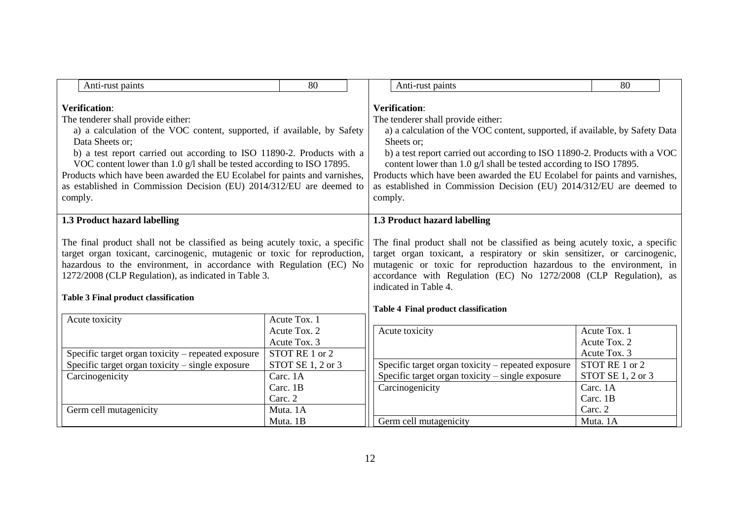<span id="page-12-1"></span><span id="page-12-0"></span>

| Anti-rust paints                                                                                                                                                                                                                                                                                                                                                                                                                                                              | 80                             |                                                                                                                                                                                                                                                                                                                                                                                                                                                                               | Anti-rust paints                                                                                                                                                                                                                                                                                                                                                               | 80                           |  |
|-------------------------------------------------------------------------------------------------------------------------------------------------------------------------------------------------------------------------------------------------------------------------------------------------------------------------------------------------------------------------------------------------------------------------------------------------------------------------------|--------------------------------|-------------------------------------------------------------------------------------------------------------------------------------------------------------------------------------------------------------------------------------------------------------------------------------------------------------------------------------------------------------------------------------------------------------------------------------------------------------------------------|--------------------------------------------------------------------------------------------------------------------------------------------------------------------------------------------------------------------------------------------------------------------------------------------------------------------------------------------------------------------------------|------------------------------|--|
| <b>Verification:</b><br>The tenderer shall provide either:<br>a) a calculation of the VOC content, supported, if available, by Safety<br>Data Sheets or;<br>b) a test report carried out according to ISO 11890-2. Products with a<br>VOC content lower than 1.0 g/l shall be tested according to ISO 17895.<br>Products which have been awarded the EU Ecolabel for paints and varnishes,<br>as established in Commission Decision (EU) 2014/312/EU are deemed to<br>comply. |                                | <b>Verification:</b><br>The tenderer shall provide either:<br>a) a calculation of the VOC content, supported, if available, by Safety Data<br>Sheets or;<br>b) a test report carried out according to ISO 11890-2. Products with a VOC<br>content lower than 1.0 g/l shall be tested according to ISO 17895.<br>Products which have been awarded the EU Ecolabel for paints and varnishes,<br>as established in Commission Decision (EU) 2014/312/EU are deemed to<br>comply. |                                                                                                                                                                                                                                                                                                                                                                                |                              |  |
| 1.3 Product hazard labelling                                                                                                                                                                                                                                                                                                                                                                                                                                                  |                                |                                                                                                                                                                                                                                                                                                                                                                                                                                                                               | 1.3 Product hazard labelling                                                                                                                                                                                                                                                                                                                                                   |                              |  |
| The final product shall not be classified as being acutely toxic, a specific<br>target organ toxicant, carcinogenic, mutagenic or toxic for reproduction,<br>hazardous to the environment, in accordance with Regulation (EC) No<br>1272/2008 (CLP Regulation), as indicated in Table 3.<br><b>Table 3 Final product classification</b>                                                                                                                                       |                                |                                                                                                                                                                                                                                                                                                                                                                                                                                                                               | The final product shall not be classified as being acutely toxic, a specific<br>target organ toxicant, a respiratory or skin sensitizer, or carcinogenic,<br>mutagenic or toxic for reproduction hazardous to the environment, in<br>accordance with Regulation (EC) No 1272/2008 (CLP Regulation), as<br>indicated in Table 4.<br><b>Table 4 Final product classification</b> |                              |  |
| Acute toxicity                                                                                                                                                                                                                                                                                                                                                                                                                                                                | Acute Tox. 1                   |                                                                                                                                                                                                                                                                                                                                                                                                                                                                               |                                                                                                                                                                                                                                                                                                                                                                                |                              |  |
|                                                                                                                                                                                                                                                                                                                                                                                                                                                                               | Acute Tox. 2                   |                                                                                                                                                                                                                                                                                                                                                                                                                                                                               | Acute toxicity                                                                                                                                                                                                                                                                                                                                                                 | Acute Tox. 1                 |  |
| Specific target organ toxicity - repeated exposure                                                                                                                                                                                                                                                                                                                                                                                                                            | Acute Tox. 3<br>STOT RE 1 or 2 |                                                                                                                                                                                                                                                                                                                                                                                                                                                                               |                                                                                                                                                                                                                                                                                                                                                                                | Acute Tox. 2<br>Acute Tox. 3 |  |
| Specific target organ toxicity – single exposure                                                                                                                                                                                                                                                                                                                                                                                                                              | STOT SE 1, 2 or 3              |                                                                                                                                                                                                                                                                                                                                                                                                                                                                               | Specific target organ toxicity – repeated exposure                                                                                                                                                                                                                                                                                                                             | STOT RE 1 or 2               |  |
| Carcinogenicity                                                                                                                                                                                                                                                                                                                                                                                                                                                               | Carc. 1A                       |                                                                                                                                                                                                                                                                                                                                                                                                                                                                               | Specific target organ toxicity $-$ single exposure                                                                                                                                                                                                                                                                                                                             | STOT SE 1, 2 or 3            |  |
|                                                                                                                                                                                                                                                                                                                                                                                                                                                                               | Carc. 1B                       |                                                                                                                                                                                                                                                                                                                                                                                                                                                                               | Carcinogenicity                                                                                                                                                                                                                                                                                                                                                                | Carc. 1A                     |  |
|                                                                                                                                                                                                                                                                                                                                                                                                                                                                               | Carc. 2                        |                                                                                                                                                                                                                                                                                                                                                                                                                                                                               |                                                                                                                                                                                                                                                                                                                                                                                | Carc. 1B                     |  |
| Germ cell mutagenicity                                                                                                                                                                                                                                                                                                                                                                                                                                                        | Muta. 1A                       |                                                                                                                                                                                                                                                                                                                                                                                                                                                                               |                                                                                                                                                                                                                                                                                                                                                                                | Carc. 2                      |  |
|                                                                                                                                                                                                                                                                                                                                                                                                                                                                               | Muta. 1B                       |                                                                                                                                                                                                                                                                                                                                                                                                                                                                               | Germ cell mutagenicity                                                                                                                                                                                                                                                                                                                                                         | Muta. 1A                     |  |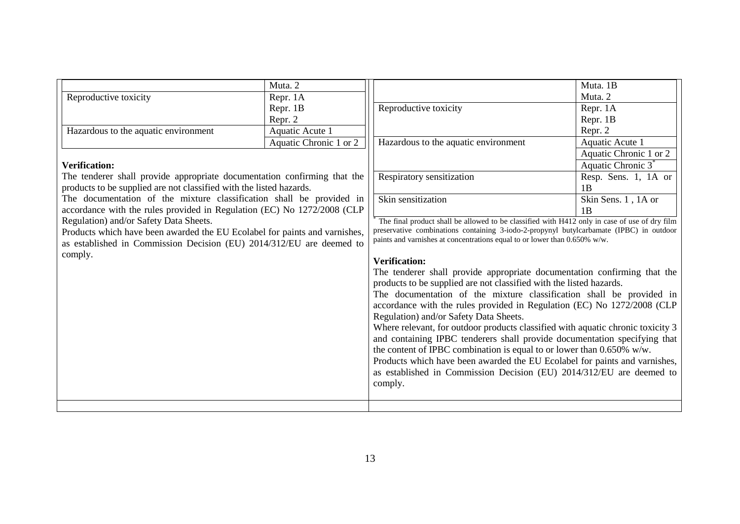|                                                                            | Muta. 2                |                                                                                                                                                                                          | Muta. 1B                       |
|----------------------------------------------------------------------------|------------------------|------------------------------------------------------------------------------------------------------------------------------------------------------------------------------------------|--------------------------------|
| Reproductive toxicity                                                      | Repr. 1A               |                                                                                                                                                                                          | Muta. 2                        |
|                                                                            | Repr. 1B               | Reproductive toxicity                                                                                                                                                                    | Repr. 1A                       |
|                                                                            | Repr. 2                |                                                                                                                                                                                          | Repr. 1B                       |
| Hazardous to the aquatic environment                                       | Aquatic Acute 1        |                                                                                                                                                                                          | Repr. 2                        |
|                                                                            | Aquatic Chronic 1 or 2 | Hazardous to the aquatic environment                                                                                                                                                     | Aquatic Acute 1                |
|                                                                            |                        |                                                                                                                                                                                          | Aquatic Chronic 1 or 2         |
| <b>Verification:</b>                                                       |                        |                                                                                                                                                                                          | Aquatic Chronic 3 <sup>*</sup> |
| The tenderer shall provide appropriate documentation confirming that the   |                        | Respiratory sensitization                                                                                                                                                                | Resp. Sens. 1, 1A or           |
| products to be supplied are not classified with the listed hazards.        |                        |                                                                                                                                                                                          | 1B                             |
| The documentation of the mixture classification shall be provided in       |                        | Skin sensitization                                                                                                                                                                       | Skin Sens. 1, 1A or            |
| accordance with the rules provided in Regulation (EC) No 1272/2008 (CLP    |                        |                                                                                                                                                                                          | 1 <sub>B</sub>                 |
| Regulation) and/or Safety Data Sheets.                                     |                        | The final product shall be allowed to be classified with H412 only in case of use of dry film<br>preservative combinations containing 3-iodo-2-propynyl butylcarbamate (IPBC) in outdoor |                                |
| Products which have been awarded the EU Ecolabel for paints and varnishes, |                        | paints and varnishes at concentrations equal to or lower than 0.650% w/w.                                                                                                                |                                |
| as established in Commission Decision (EU) 2014/312/EU are deemed to       |                        |                                                                                                                                                                                          |                                |
| comply.                                                                    |                        | <b>Verification:</b>                                                                                                                                                                     |                                |
|                                                                            |                        | The tenderer shall provide appropriate documentation confirming that the                                                                                                                 |                                |
|                                                                            |                        | products to be supplied are not classified with the listed hazards.                                                                                                                      |                                |
|                                                                            |                        | The documentation of the mixture classification shall be provided in                                                                                                                     |                                |
|                                                                            |                        | accordance with the rules provided in Regulation (EC) No 1272/2008 (CLP                                                                                                                  |                                |
|                                                                            |                        | Regulation) and/or Safety Data Sheets.                                                                                                                                                   |                                |
|                                                                            |                        | Where relevant, for outdoor products classified with aquatic chronic toxicity 3                                                                                                          |                                |
|                                                                            |                        | and containing IPBC tenderers shall provide documentation specifying that                                                                                                                |                                |
|                                                                            |                        | the content of IPBC combination is equal to or lower than $0.650\%$ w/w.<br>Products which have been awarded the EU Ecolabel for paints and varnishes,                                   |                                |
|                                                                            |                        |                                                                                                                                                                                          |                                |
|                                                                            |                        | comply.                                                                                                                                                                                  |                                |
|                                                                            |                        |                                                                                                                                                                                          |                                |
|                                                                            |                        |                                                                                                                                                                                          |                                |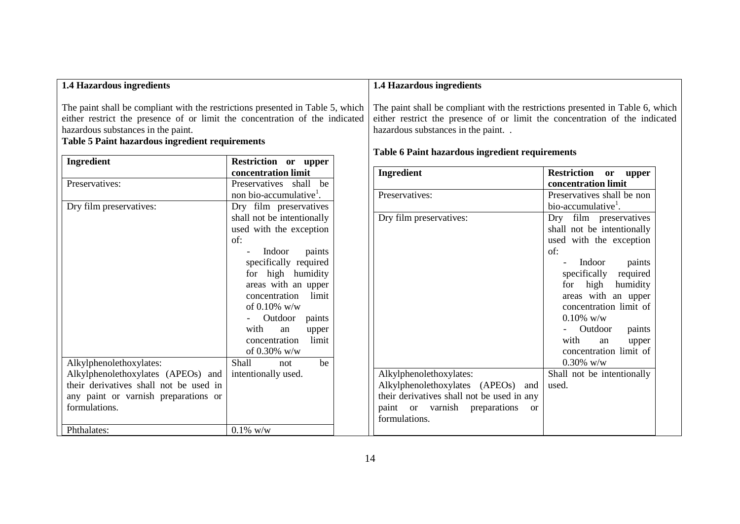<span id="page-14-1"></span><span id="page-14-0"></span>

| 1.4 Hazardous ingredients                                                                                                                                                                                                                                     |                                            | <b>1.4 Hazardous ingredients</b> |                                                                                                                                                                                                    |                                    |
|---------------------------------------------------------------------------------------------------------------------------------------------------------------------------------------------------------------------------------------------------------------|--------------------------------------------|----------------------------------|----------------------------------------------------------------------------------------------------------------------------------------------------------------------------------------------------|------------------------------------|
| The paint shall be compliant with the restrictions presented in Table 5, which<br>either restrict the presence of or limit the concentration of the indicated<br>hazardous substances in the paint.<br><b>Table 5 Paint hazardous ingredient requirements</b> |                                            |                                  | The paint shall be compliant with the restrictions presented in Table 6, which<br>either restrict the presence of or limit the concentration of the indicated<br>hazardous substances in the paint |                                    |
| <b>Ingredient</b>                                                                                                                                                                                                                                             | Restriction or upper                       |                                  | <b>Table 6 Paint hazardous ingredient requirements</b>                                                                                                                                             |                                    |
|                                                                                                                                                                                                                                                               | concentration limit                        |                                  | Ingredient                                                                                                                                                                                         | Restriction or upper               |
| Preservatives:                                                                                                                                                                                                                                                | Preservatives shall be                     |                                  |                                                                                                                                                                                                    | concentration limit                |
|                                                                                                                                                                                                                                                               | non bio-accumulative <sup>1</sup> .        |                                  | Preservatives:                                                                                                                                                                                     | Preservatives shall be non         |
| Dry film preservatives:                                                                                                                                                                                                                                       | Dry film preservatives                     |                                  |                                                                                                                                                                                                    | bio-accumulative <sup>1</sup> .    |
|                                                                                                                                                                                                                                                               | shall not be intentionally                 |                                  | Dry film preservatives:                                                                                                                                                                            | Dry film preservatives             |
|                                                                                                                                                                                                                                                               | used with the exception                    |                                  |                                                                                                                                                                                                    | shall not be intentionally         |
|                                                                                                                                                                                                                                                               | of:                                        |                                  |                                                                                                                                                                                                    | used with the exception            |
|                                                                                                                                                                                                                                                               | paints<br>Indoor                           |                                  |                                                                                                                                                                                                    | of:<br>Indoor                      |
|                                                                                                                                                                                                                                                               | specifically required<br>for high humidity |                                  |                                                                                                                                                                                                    | paints<br>required<br>specifically |
|                                                                                                                                                                                                                                                               | areas with an upper                        |                                  |                                                                                                                                                                                                    | for high<br>humidity               |
|                                                                                                                                                                                                                                                               | concentration<br>limit                     |                                  |                                                                                                                                                                                                    | areas with an upper                |
|                                                                                                                                                                                                                                                               | of $0.10\%$ w/w                            |                                  |                                                                                                                                                                                                    | concentration limit of             |
|                                                                                                                                                                                                                                                               | Outdoor<br>paints                          |                                  |                                                                                                                                                                                                    | $0.10\%$ w/w                       |
|                                                                                                                                                                                                                                                               | with<br>an<br>upper                        |                                  |                                                                                                                                                                                                    | Outdoor<br>paints                  |
|                                                                                                                                                                                                                                                               | concentration<br>limit                     |                                  |                                                                                                                                                                                                    | with<br>an<br>upper                |
|                                                                                                                                                                                                                                                               | of 0.30% w/w                               |                                  |                                                                                                                                                                                                    | concentration limit of             |
| Alkylphenolethoxylates:                                                                                                                                                                                                                                       | Shall<br>be<br>not                         |                                  |                                                                                                                                                                                                    | $0.30\%$ w/w                       |
| Alkylphenolethoxylates (APEOs) and                                                                                                                                                                                                                            | intentionally used.                        |                                  | Alkylphenolethoxylates:                                                                                                                                                                            | Shall not be intentionally         |
| their derivatives shall not be used in                                                                                                                                                                                                                        |                                            |                                  | Alkylphenolethoxylates (APEOs)<br>and                                                                                                                                                              | used.                              |
| any paint or varnish preparations or                                                                                                                                                                                                                          |                                            |                                  | their derivatives shall not be used in any                                                                                                                                                         |                                    |
| formulations.                                                                                                                                                                                                                                                 |                                            |                                  | paint or varnish preparations<br><sub>or</sub>                                                                                                                                                     |                                    |
|                                                                                                                                                                                                                                                               |                                            |                                  | formulations.                                                                                                                                                                                      |                                    |
| Phthalates:                                                                                                                                                                                                                                                   | $0.1\%$ w/w                                |                                  |                                                                                                                                                                                                    |                                    |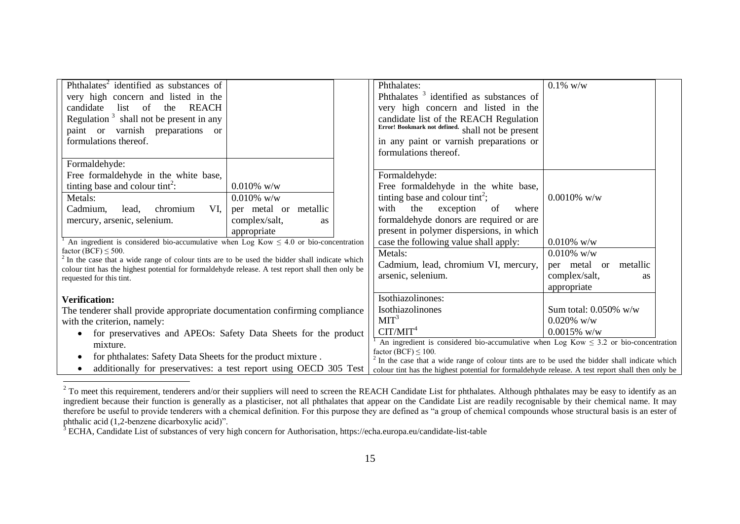<span id="page-15-0"></span>

| Phthalates <sup>2</sup> identified as substances of                                                                                                                                                    |                       |                                                                                                                                     | Phthalates:                                                                                      | $0.1\%$ w/w                |
|--------------------------------------------------------------------------------------------------------------------------------------------------------------------------------------------------------|-----------------------|-------------------------------------------------------------------------------------------------------------------------------------|--------------------------------------------------------------------------------------------------|----------------------------|
| very high concern and listed in the                                                                                                                                                                    |                       |                                                                                                                                     | Phthalates <sup>3</sup> identified as substances of                                              |                            |
| candidate<br>list of the<br>REACH                                                                                                                                                                      |                       |                                                                                                                                     | very high concern and listed in the                                                              |                            |
| Regulation $3$ shall not be present in any                                                                                                                                                             |                       |                                                                                                                                     | candidate list of the REACH Regulation                                                           |                            |
| paint or varnish preparations or                                                                                                                                                                       |                       |                                                                                                                                     | Error! Bookmark not defined. shall not be present                                                |                            |
| formulations thereof.                                                                                                                                                                                  |                       |                                                                                                                                     | in any paint or varnish preparations or                                                          |                            |
|                                                                                                                                                                                                        |                       |                                                                                                                                     | formulations thereof.                                                                            |                            |
| Formaldehyde:                                                                                                                                                                                          |                       |                                                                                                                                     |                                                                                                  |                            |
| Free formaldehyde in the white base,                                                                                                                                                                   |                       |                                                                                                                                     | Formaldehyde:                                                                                    |                            |
| tinting base and colour tint <sup>2</sup> :                                                                                                                                                            | $0.010\%$ w/w         |                                                                                                                                     | Free formal dehyde in the white base,                                                            |                            |
| Metals:                                                                                                                                                                                                | $0.010\%$ w/w         |                                                                                                                                     | tinting base and colour tint <sup>2</sup> ;                                                      | $0.0010\%$ w/w             |
| VI,<br>Cadmium,<br>lead,<br>chromium                                                                                                                                                                   | per metal or metallic |                                                                                                                                     | with<br>the<br>where<br>exception<br>of                                                          |                            |
| mercury, arsenic, selenium.                                                                                                                                                                            | complex/salt,<br>as   |                                                                                                                                     | formaldehyde donors are required or are                                                          |                            |
|                                                                                                                                                                                                        | appropriate           |                                                                                                                                     | present in polymer dispersions, in which                                                         |                            |
| An ingredient is considered bio-accumulative when Log Kow $\leq 4.0$ or bio-concentration                                                                                                              |                       |                                                                                                                                     | case the following value shall apply:                                                            | $0.010\%$ w/w              |
| factor (BCF) $\leq$ 500.                                                                                                                                                                               |                       |                                                                                                                                     | Metals:                                                                                          | $0.010\%$ w/w              |
| $2^2$ In the case that a wide range of colour tints are to be used the bidder shall indicate which<br>colour tint has the highest potential for formaldehyde release. A test report shall then only be |                       |                                                                                                                                     | Cadmium, lead, chromium VI, mercury,                                                             | per metal or metallic      |
| requested for this tint.                                                                                                                                                                               |                       |                                                                                                                                     | arsenic, selenium.                                                                               | complex/salt,<br><b>as</b> |
|                                                                                                                                                                                                        |                       |                                                                                                                                     |                                                                                                  | appropriate                |
| <b>Verification:</b>                                                                                                                                                                                   |                       |                                                                                                                                     | Isothiazolinones:                                                                                |                            |
| The tenderer shall provide appropriate documentation confirming compliance                                                                                                                             |                       | Isothiazolinones                                                                                                                    | Sum total: $0.050\%$ w/w                                                                         |                            |
| with the criterion, namely:                                                                                                                                                                            |                       | MIT <sup>3</sup>                                                                                                                    | $0.020\%$ w/w                                                                                    |                            |
| for preservatives and APEOs: Safety Data Sheets for the product                                                                                                                                        |                       | CIT/MIT <sup>4</sup>                                                                                                                | $0.0015\%$ w/w                                                                                   |                            |
| mixture.                                                                                                                                                                                               |                       | An ingredient is considered bio-accumulative when Log Kow $\leq$ 3.2 or bio-concentration                                           |                                                                                                  |                            |
| for phthalates: Safety Data Sheets for the product mixture.<br>$\bullet$                                                                                                                               |                       | factor $(BCF) < 100$ .<br><sup>2</sup> In the case that a wide range of colour tints are to be used the bidder shall indicate which |                                                                                                  |                            |
| additionally for preservatives: a test report using OECD 305 Test<br>$\bullet$                                                                                                                         |                       |                                                                                                                                     | colour tint has the highest potential for formaldehyde release. A test report shall then only be |                            |
|                                                                                                                                                                                                        |                       |                                                                                                                                     |                                                                                                  |                            |

 $2$  To meet this requirement, tenderers and/or their suppliers will need to screen the REACH Candidate List for phthalates. Although phthalates may be easy to identify as an ingredient because their function is generally as a plasticiser, not all phthalates that appear on the Candidate List are readily recognisable by their chemical name. It may therefore be useful to provide tenderers with a chemical definition. For this purpose they are defined as "a group of chemical compounds whose structural basis is an ester of phthalic acid (1,2-benzene dicarboxylic acid)".

<sup>3</sup> ECHA, Candidate List of substances of very high concern for Authorisation, https://echa.europa.eu/candidate-list-table

l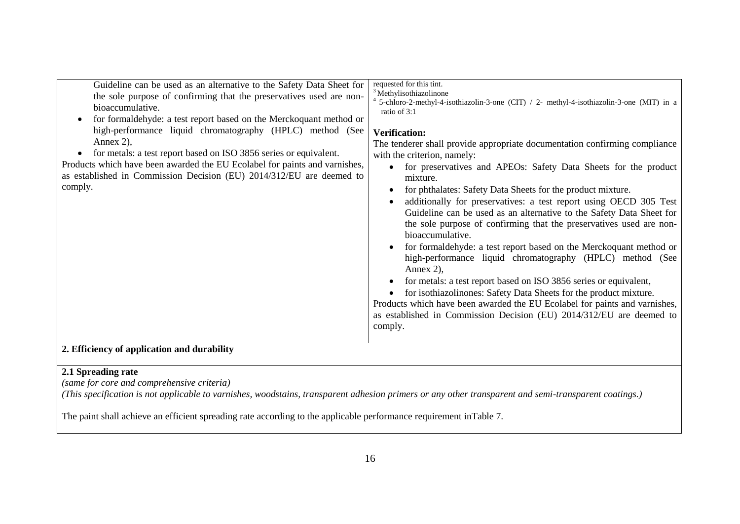| 2. Efficiency of application and durability | requested for this tint.<br>Guideline can be used as an alternative to the Safety Data Sheet for<br><sup>3</sup> Methylisothiazolinone<br>the sole purpose of confirming that the preservatives used are non-<br>5-chloro-2-methyl-4-isothiazolin-3-one (CIT) / 2- methyl-4-isothiazolin-3-one (MIT) in a<br>bioaccumulative.<br>ratio of 3:1<br>for formaldehyde: a test report based on the Merckoquant method or<br>high-performance liquid chromatography (HPLC) method (See<br><b>Verification:</b><br>Annex 2),<br>The tenderer shall provide appropriate documentation confirming compliance<br>for metals: a test report based on ISO 3856 series or equivalent.<br>$\bullet$<br>with the criterion, namely:<br>Products which have been awarded the EU Ecolabel for paints and varnishes,<br>for preservatives and APEOs: Safety Data Sheets for the product<br>as established in Commission Decision (EU) 2014/312/EU are deemed to<br>mixture.<br>comply.<br>for phthalates: Safety Data Sheets for the product mixture.<br>additionally for preservatives: a test report using OECD 305 Test<br>Guideline can be used as an alternative to the Safety Data Sheet for<br>the sole purpose of confirming that the preservatives used are non-<br>bioaccumulative.<br>for formaldehyde: a test report based on the Merckoquant method or<br>high-performance liquid chromatography (HPLC) method (See<br>Annex 2),<br>for metals: a test report based on ISO 3856 series or equivalent,<br>for isothiazolinones: Safety Data Sheets for the product mixture.<br>Products which have been awarded the EU Ecolabel for paints and varnishes,<br>as established in Commission Decision (EU) 2014/312/EU are deemed to<br>comply. |
|---------------------------------------------|----------------------------------------------------------------------------------------------------------------------------------------------------------------------------------------------------------------------------------------------------------------------------------------------------------------------------------------------------------------------------------------------------------------------------------------------------------------------------------------------------------------------------------------------------------------------------------------------------------------------------------------------------------------------------------------------------------------------------------------------------------------------------------------------------------------------------------------------------------------------------------------------------------------------------------------------------------------------------------------------------------------------------------------------------------------------------------------------------------------------------------------------------------------------------------------------------------------------------------------------------------------------------------------------------------------------------------------------------------------------------------------------------------------------------------------------------------------------------------------------------------------------------------------------------------------------------------------------------------------------------------------------------------------------------------------------------------------------------------------|
|---------------------------------------------|----------------------------------------------------------------------------------------------------------------------------------------------------------------------------------------------------------------------------------------------------------------------------------------------------------------------------------------------------------------------------------------------------------------------------------------------------------------------------------------------------------------------------------------------------------------------------------------------------------------------------------------------------------------------------------------------------------------------------------------------------------------------------------------------------------------------------------------------------------------------------------------------------------------------------------------------------------------------------------------------------------------------------------------------------------------------------------------------------------------------------------------------------------------------------------------------------------------------------------------------------------------------------------------------------------------------------------------------------------------------------------------------------------------------------------------------------------------------------------------------------------------------------------------------------------------------------------------------------------------------------------------------------------------------------------------------------------------------------------------|

## **2.1 Spreading rate**

*(same for core and comprehensive criteria)*

*(This specification is not applicable to varnishes, woodstains, transparent adhesion primers or any other transparent and semi-transparent coatings.)*

The paint shall achieve an efficient spreading rate according to the applicable performance requirement i[nTable 7.](#page-17-0)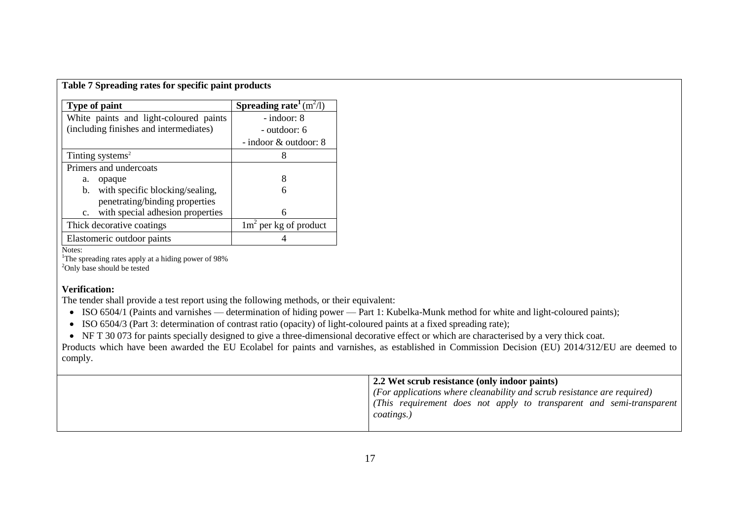| <b>Type of paint</b>                              | <b>Spreading rate</b> $(m^2/l)$ |
|---------------------------------------------------|---------------------------------|
| White paints and light-coloured paints            | - indoor: 8                     |
| (including finishes and intermediates)            | - outdoor: 6                    |
|                                                   | - indoor & outdoor: 8           |
| Tinting systems <sup>2</sup>                      |                                 |
| Primers and undercoats                            |                                 |
| opaque<br>a.                                      |                                 |
| with specific blocking/sealing,<br>$\mathbf{b}$ . | 6                               |
| penetrating/binding properties                    |                                 |
| with special adhesion properties<br>$c_{\cdot}$   | 6                               |
| Thick decorative coatings                         | $1m2$ per kg of product         |
| Elastomeric outdoor paints                        |                                 |

<span id="page-17-0"></span>**Table 7 Spreading rates for specific paint products**

Notes:

<sup>1</sup>The spreading rates apply at a hiding power of 98% <sup>2</sup>Only base should be tested

#### **Verification:**

The tender shall provide a test report using the following methods, or their equivalent:

- ISO 6504/1 (Paints and varnishes determination of hiding power Part 1: Kubelka-Munk method for white and light-coloured paints);
- ISO 6504/3 (Part 3: determination of contrast ratio (opacity) of light-coloured paints at a fixed spreading rate);

NF T 30 073 for paints specially designed to give a three-dimensional decorative effect or which are characterised by a very thick coat.

Products which have been awarded the EU Ecolabel for paints and varnishes, as established in Commission Decision (EU) 2014/312/EU are deemed to comply.

| 2.2 Wet scrub resistance (only indoor paints)                                   |
|---------------------------------------------------------------------------------|
| $\vert$ (For applications where cleanability and scrub resistance are required) |
| (This requirement does not apply to transparent and semi-transparent            |
| coatings.)                                                                      |
|                                                                                 |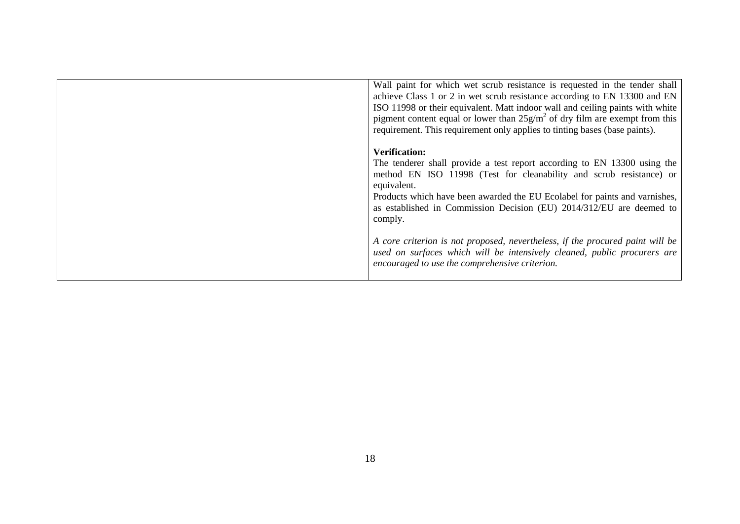| Wall paint for which wet scrub resistance is requested in the tender shall<br>achieve Class 1 or 2 in wet scrub resistance according to EN 13300 and EN<br>ISO 11998 or their equivalent. Matt indoor wall and ceiling paints with white<br>pigment content equal or lower than $25g/m^2$ of dry film are exempt from this<br>requirement. This requirement only applies to tinting bases (base paints). |
|----------------------------------------------------------------------------------------------------------------------------------------------------------------------------------------------------------------------------------------------------------------------------------------------------------------------------------------------------------------------------------------------------------|
| <b>Verification:</b><br>The tenderer shall provide a test report according to EN 13300 using the<br>method EN ISO 11998 (Test for cleanability and scrub resistance) or<br>equivalent.<br>Products which have been awarded the EU Ecolabel for paints and varnishes,<br>as established in Commission Decision (EU) 2014/312/EU are deemed to<br>comply.                                                  |
| A core criterion is not proposed, nevertheless, if the procured paint will be<br>used on surfaces which will be intensively cleaned, public procurers are<br>encouraged to use the comprehensive criterion.                                                                                                                                                                                              |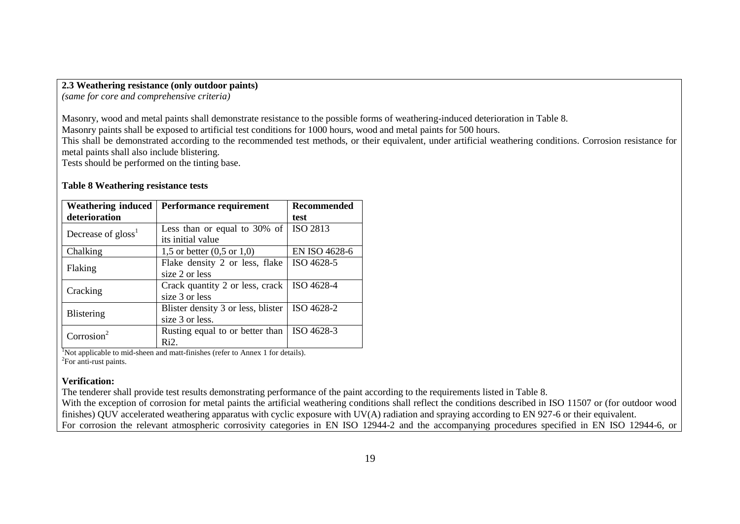#### **2.3 Weathering resistance (only outdoor paints)**

*(same for core and comprehensive criteria)*

Masonry, wood and metal paints shall demonstrate resistance to the possible forms of weathering-induced deterioration in [Table 8.](#page-19-0)

Masonry paints shall be exposed to artificial test conditions for 1000 hours, wood and metal paints for 500 hours.

This shall be demonstrated according to the recommended test methods, or their equivalent, under artificial weathering conditions. Corrosion resistance for metal paints shall also include blistering.

Tests should be performed on the tinting base.

#### <span id="page-19-0"></span>**Table 8 Weathering resistance tests**

| <b>Weathering induced</b>      | Performance requirement                      | <b>Recommended</b> |
|--------------------------------|----------------------------------------------|--------------------|
| deterioration                  |                                              | test               |
| Decrease of gloss <sup>1</sup> | Less than or equal to 30% of                 | ISO 2813           |
|                                | its initial value                            |                    |
| Chalking                       | 1,5 or better $(0,5 \text{ or } 1,0)$        | EN ISO 4628-6      |
|                                | Flake density 2 or less, flake               | ISO 4628-5         |
| Flaking                        | size 2 or less                               |                    |
|                                | Crack quantity 2 or less, crack   ISO 4628-4 |                    |
| Cracking                       | size 3 or less                               |                    |
|                                | Blister density 3 or less, blister           | ISO 4628-2         |
| <b>Blistering</b>              | size 3 or less.                              |                    |
| Corrosion <sup>2</sup>         | Rusting equal to or better than              | ISO 4628-3         |
|                                | Ri <sub>2</sub> .                            |                    |

<sup>1</sup>Not applicable to mid-sheen and matt-finishes (refer to Annex 1 for details). <sup>2</sup>For anti-rust paints.

#### **Verification:**

The tenderer shall provide test results demonstrating performance of the paint according to the requirements listed in [Table 8.](#page-19-0)

With the exception of corrosion for metal paints the artificial weathering conditions shall reflect the conditions described in ISO 11507 or (for outdoor wood finishes) QUV accelerated weathering apparatus with cyclic exposure with UV(A) radiation and spraying according to EN 927-6 or their equivalent. For corrosion the relevant atmospheric corrosivity categories in EN ISO 12944-2 and the accompanying procedures specified in EN ISO 12944-6, or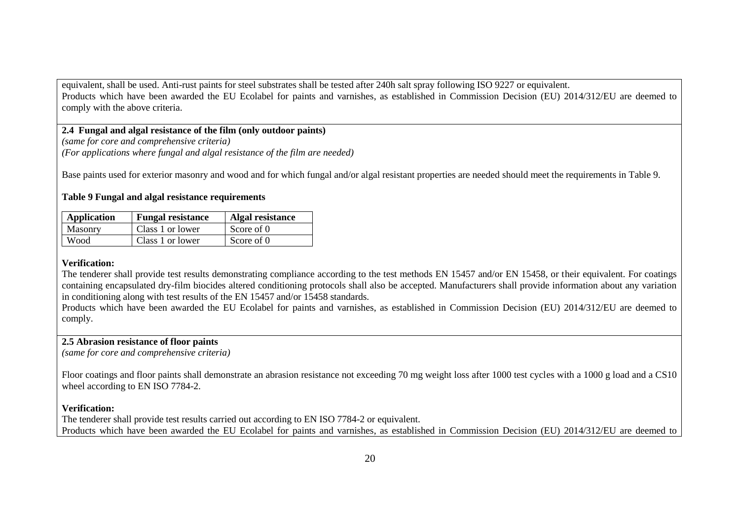equivalent, shall be used. Anti-rust paints for steel substrates shall be tested after 240h salt spray following ISO 9227 or equivalent. Products which have been awarded the EU Ecolabel for paints and varnishes, as established in Commission Decision (EU) 2014/312/EU are deemed to comply with the above criteria.

#### **2.4 Fungal and algal resistance of the film (only outdoor paints)**

*(same for core and comprehensive criteria) (For applications where fungal and algal resistance of the film are needed)*

Base paints used for exterior masonry and wood and for which fungal and/or algal resistant properties are needed should meet the requirements in [Table 9.](#page-20-0)

#### <span id="page-20-0"></span>**Table 9 Fungal and algal resistance requirements**

| Application | <b>Fungal resistance</b> | Algal resistance |
|-------------|--------------------------|------------------|
| Masonry     | Class 1 or lower         | Score of 0       |
| Wood        | Class 1 or lower         | Score of 0       |

#### **Verification:**

The tenderer shall provide test results demonstrating compliance according to the test methods EN 15457 and/or EN 15458, or their equivalent. For coatings containing encapsulated dry-film biocides altered conditioning protocols shall also be accepted. Manufacturers shall provide information about any variation in conditioning along with test results of the EN 15457 and/or 15458 standards.

Products which have been awarded the EU Ecolabel for paints and varnishes, as established in Commission Decision (EU) 2014/312/EU are deemed to comply.

## **2.5 Abrasion resistance of floor paints**

*(same for core and comprehensive criteria)*

Floor coatings and floor paints shall demonstrate an abrasion resistance not exceeding 70 mg weight loss after 1000 test cycles with a 1000 g load and a CS10 wheel according to EN ISO 7784-2.

#### **Verification:**

The tenderer shall provide test results carried out according to EN ISO 7784-2 or equivalent. Products which have been awarded the EU Ecolabel for paints and varnishes, as established in Commission Decision (EU) 2014/312/EU are deemed to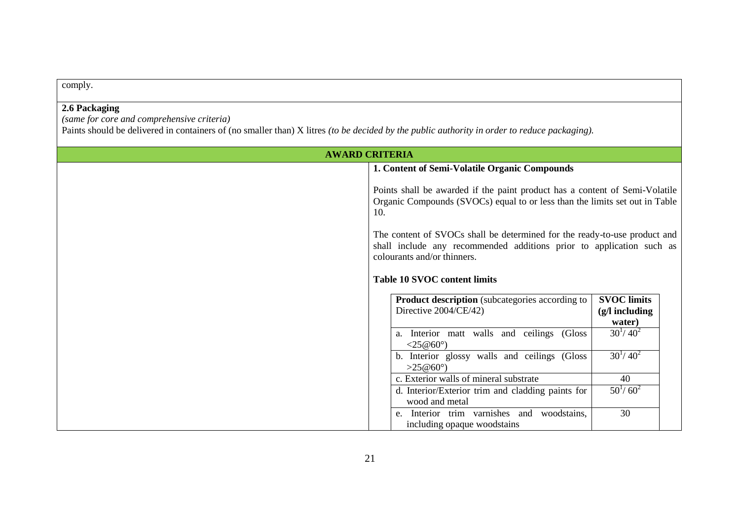comply.

## **2.6 Packaging**

*(same for core and comprehensive criteria)*

Paints should be delivered in containers of (no smaller than) X litres *(to be decided by the public authority in order to reduce packaging).*

<span id="page-21-0"></span>

| <b>AWARD CRITERIA</b> |                                                                                                                                                                                  |  |  |
|-----------------------|----------------------------------------------------------------------------------------------------------------------------------------------------------------------------------|--|--|
|                       | 1. Content of Semi-Volatile Organic Compounds                                                                                                                                    |  |  |
|                       | Points shall be awarded if the paint product has a content of Semi-Volatile<br>Organic Compounds (SVOCs) equal to or less than the limits set out in Table<br>10.                |  |  |
|                       | The content of SVOCs shall be determined for the ready-to-use product and<br>shall include any recommended additions prior to application such as<br>colourants and/or thinners. |  |  |
|                       | <b>Table 10 SVOC content limits</b>                                                                                                                                              |  |  |
|                       | <b>Product description</b> (subcategories according to<br><b>SVOC</b> limits<br>Directive 2004/CE/42)<br>$(g/l$ including<br>water)                                              |  |  |
|                       | $30^{1}/ 40^{2}$<br>a. Interior matt walls and ceilings (Gloss<br>< 25@60°                                                                                                       |  |  |
|                       | $30^{1}/ 40^{2}$<br>b. Interior glossy walls and ceilings (Gloss<br>>25@60°                                                                                                      |  |  |
|                       | c. Exterior walls of mineral substrate<br>40                                                                                                                                     |  |  |
|                       | $50^{1}/ 60^{2}$<br>d. Interior/Exterior trim and cladding paints for<br>wood and metal                                                                                          |  |  |
|                       | 30<br>Interior trim varnishes and woodstains,<br>e.<br>including opaque woodstains                                                                                               |  |  |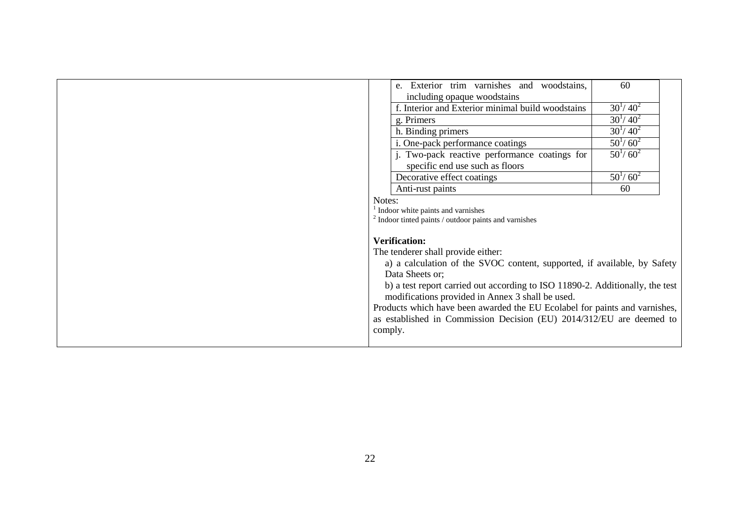|         | e. Exterior trim varnishes and woodstains,                                                                                        | 60               |
|---------|-----------------------------------------------------------------------------------------------------------------------------------|------------------|
|         | including opaque woodstains                                                                                                       |                  |
|         | f. Interior and Exterior minimal build woodstains                                                                                 | $30^{1}/ 40^{2}$ |
|         | g. Primers                                                                                                                        | $30^{1}/ 40^{2}$ |
|         | h. Binding primers                                                                                                                | $30^{1}/ 40^{2}$ |
|         | i. One-pack performance coatings                                                                                                  | $50^{1}/ 60^{2}$ |
|         | j. Two-pack reactive performance coatings for<br>specific end use such as floors                                                  | $50^{1}/ 60^{2}$ |
|         | Decorative effect coatings                                                                                                        | $50^{1}/ 60^{2}$ |
|         | Anti-rust paints                                                                                                                  | 60               |
| Notes:  |                                                                                                                                   |                  |
|         | $1$ Indoor white paints and varnishes                                                                                             |                  |
|         | $2$ Indoor tinted paints / outdoor paints and varnishes                                                                           |                  |
|         | <b>Verification:</b>                                                                                                              |                  |
|         | The tenderer shall provide either:                                                                                                |                  |
|         | a) a calculation of the SVOC content, supported, if available, by Safety                                                          |                  |
|         | Data Sheets or;                                                                                                                   |                  |
|         | b) a test report carried out according to ISO 11890-2. Additionally, the test<br>modifications provided in Annex 3 shall be used. |                  |
|         | Products which have been awarded the EU Ecolabel for paints and varnishes,                                                        |                  |
|         | as established in Commission Decision (EU) 2014/312/EU are deemed to                                                              |                  |
| comply. |                                                                                                                                   |                  |
|         |                                                                                                                                   |                  |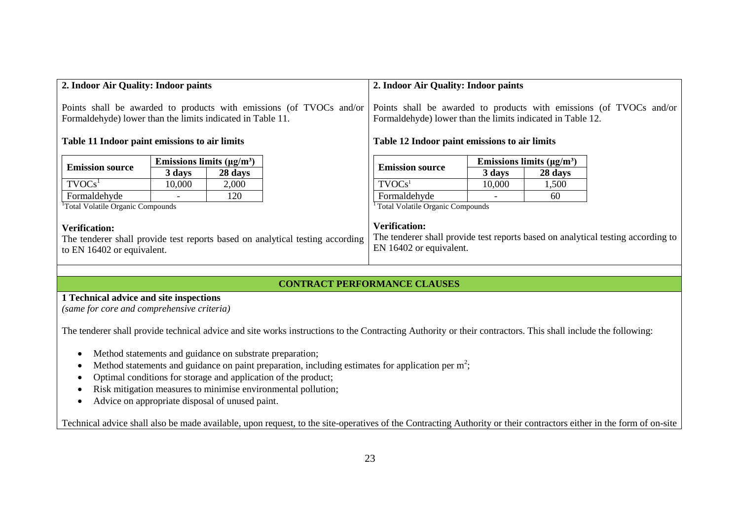<span id="page-23-0"></span>

| 2. Indoor Air Quality: Indoor paints                                                                                                |                                | 2. Indoor Air Quality: Indoor paints                                                                                              |                                                                                                                                     |                                  |        |         |  |
|-------------------------------------------------------------------------------------------------------------------------------------|--------------------------------|-----------------------------------------------------------------------------------------------------------------------------------|-------------------------------------------------------------------------------------------------------------------------------------|----------------------------------|--------|---------|--|
| Points shall be awarded to products with emissions (of TVOCs and/or<br>Formaldehyde) lower than the limits indicated in Table 11.   |                                | Points shall be awarded to products with emissions (of TVOCs and/or<br>Formaldehyde) lower than the limits indicated in Table 12. |                                                                                                                                     |                                  |        |         |  |
| Table 11 Indoor paint emissions to air limits                                                                                       |                                | Table 12 Indoor paint emissions to air limits                                                                                     |                                                                                                                                     |                                  |        |         |  |
|                                                                                                                                     | Emissions limits $(\mu g/m^3)$ |                                                                                                                                   |                                                                                                                                     | Emissions limits $(\mu g/m^3)$   |        |         |  |
| <b>Emission source</b>                                                                                                              | 3 days                         | 28 days                                                                                                                           |                                                                                                                                     | <b>Emission source</b>           | 3 days | 28 days |  |
| TVOCs <sup>1</sup>                                                                                                                  | 10,000                         | 2,000                                                                                                                             |                                                                                                                                     | TVOCs <sup>1</sup>               | 10,000 | 1,500   |  |
| Formaldehyde                                                                                                                        |                                | 120                                                                                                                               |                                                                                                                                     | Formaldehyde                     |        | 60      |  |
| <sup>1</sup> Total Volatile Organic Compounds                                                                                       |                                |                                                                                                                                   |                                                                                                                                     | Total Volatile Organic Compounds |        |         |  |
| <b>Verification:</b><br>The tenderer shall provide test reports based on analytical testing according<br>to EN 16402 or equivalent. |                                |                                                                                                                                   | <b>Verification:</b><br>The tenderer shall provide test reports based on analytical testing according to<br>EN 16402 or equivalent. |                                  |        |         |  |
|                                                                                                                                     |                                |                                                                                                                                   |                                                                                                                                     |                                  |        |         |  |

#### <span id="page-23-1"></span>**CONTRACT PERFORMANCE CLAUSES**

## **1 Technical advice and site inspections**

*(same for core and comprehensive criteria)*

The tenderer shall provide technical advice and site works instructions to the Contracting Authority or their contractors. This shall include the following:

- Method statements and guidance on substrate preparation;
- Method statements and guidance on paint preparation, including estimates for application per  $m^2$ ;
- Optimal conditions for storage and application of the product;
- Risk mitigation measures to minimise environmental pollution;
- Advice on appropriate disposal of unused paint.

Technical advice shall also be made available, upon request, to the site-operatives of the Contracting Authority or their contractors either in the form of on-site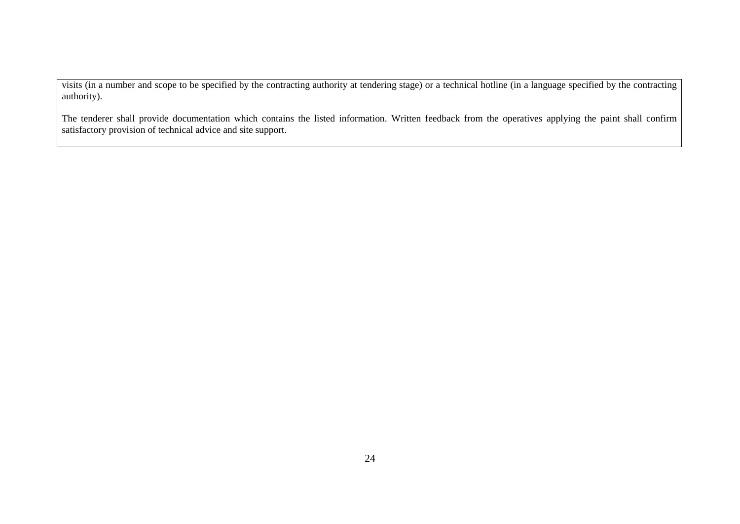visits (in a number and scope to be specified by the contracting authority at tendering stage) or a technical hotline (in a language specified by the contracting authority).

The tenderer shall provide documentation which contains the listed information. Written feedback from the operatives applying the paint shall confirm satisfactory provision of technical advice and site support.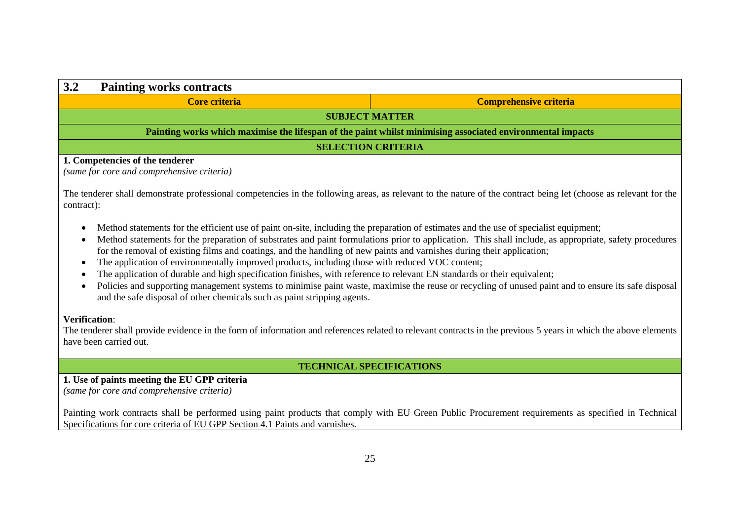| 3.2<br><b>Painting works contracts</b>                                                                                                                                                                                                                                                                                                                                                                                                                                                                                                                                                                                                                                                                                                                                                                                                                                                                                                                                                                                                                                                                                                                         |                                                                                                            |  |  |  |
|----------------------------------------------------------------------------------------------------------------------------------------------------------------------------------------------------------------------------------------------------------------------------------------------------------------------------------------------------------------------------------------------------------------------------------------------------------------------------------------------------------------------------------------------------------------------------------------------------------------------------------------------------------------------------------------------------------------------------------------------------------------------------------------------------------------------------------------------------------------------------------------------------------------------------------------------------------------------------------------------------------------------------------------------------------------------------------------------------------------------------------------------------------------|------------------------------------------------------------------------------------------------------------|--|--|--|
| <b>Core criteria</b>                                                                                                                                                                                                                                                                                                                                                                                                                                                                                                                                                                                                                                                                                                                                                                                                                                                                                                                                                                                                                                                                                                                                           | <b>Comprehensive criteria</b>                                                                              |  |  |  |
|                                                                                                                                                                                                                                                                                                                                                                                                                                                                                                                                                                                                                                                                                                                                                                                                                                                                                                                                                                                                                                                                                                                                                                | <b>SUBJECT MATTER</b>                                                                                      |  |  |  |
|                                                                                                                                                                                                                                                                                                                                                                                                                                                                                                                                                                                                                                                                                                                                                                                                                                                                                                                                                                                                                                                                                                                                                                | Painting works which maximise the lifespan of the paint whilst minimising associated environmental impacts |  |  |  |
|                                                                                                                                                                                                                                                                                                                                                                                                                                                                                                                                                                                                                                                                                                                                                                                                                                                                                                                                                                                                                                                                                                                                                                | <b>SELECTION CRITERIA</b>                                                                                  |  |  |  |
| 1. Competencies of the tenderer<br>(same for core and comprehensive criteria)<br>The tenderer shall demonstrate professional competencies in the following areas, as relevant to the nature of the contract being let (choose as relevant for the<br>contract):<br>Method statements for the efficient use of paint on-site, including the preparation of estimates and the use of specialist equipment;<br>Method statements for the preparation of substrates and paint formulations prior to application. This shall include, as appropriate, safety procedures<br>for the removal of existing films and coatings, and the handling of new paints and varnishes during their application;<br>The application of environmentally improved products, including those with reduced VOC content;<br>The application of durable and high specification finishes, with reference to relevant EN standards or their equivalent;<br>Policies and supporting management systems to minimise paint waste, maximise the reuse or recycling of unused paint and to ensure its safe disposal<br>and the safe disposal of other chemicals such as paint stripping agents. |                                                                                                            |  |  |  |
| <b>Verification:</b>                                                                                                                                                                                                                                                                                                                                                                                                                                                                                                                                                                                                                                                                                                                                                                                                                                                                                                                                                                                                                                                                                                                                           |                                                                                                            |  |  |  |

The tenderer shall provide evidence in the form of information and references related to relevant contracts in the previous 5 years in which the above elements have been carried out.

### **TECHNICAL SPECIFICATIONS**

**1. Use of paints meeting the EU GPP criteria** *(same for core and comprehensive criteria)*

Painting work contracts shall be performed using paint products that comply with EU Green Public Procurement requirements as specified in Technical Specifications for core criteria of EU GPP Section 4.1 Paints and varnishes.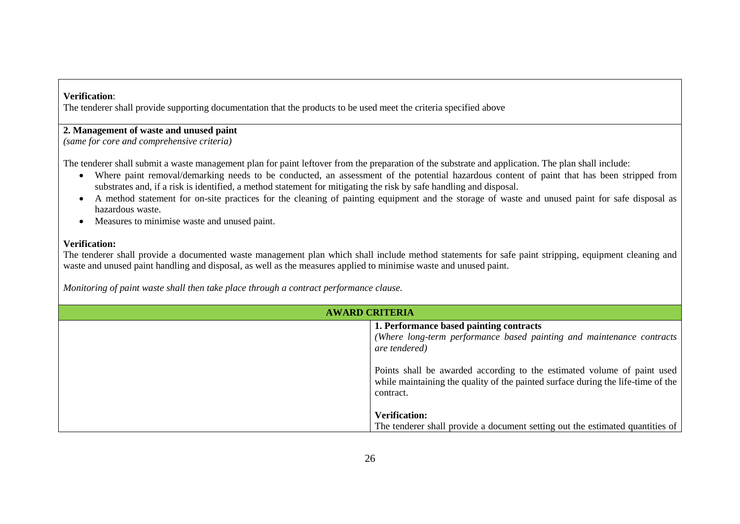#### **Verification**:

The tenderer shall provide supporting documentation that the products to be used meet the criteria specified above

## **2. Management of waste and unused paint**

*(same for core and comprehensive criteria)*

The tenderer shall submit a waste management plan for paint leftover from the preparation of the substrate and application. The plan shall include:

- Where paint removal/demarking needs to be conducted, an assessment of the potential hazardous content of paint that has been stripped from substrates and, if a risk is identified, a method statement for mitigating the risk by safe handling and disposal.
- A method statement for on-site practices for the cleaning of painting equipment and the storage of waste and unused paint for safe disposal as hazardous waste.
- Measures to minimise waste and unused paint.

#### **Verification:**

The tenderer shall provide a documented waste management plan which shall include method statements for safe paint stripping, equipment cleaning and waste and unused paint handling and disposal, as well as the measures applied to minimise waste and unused paint.

*Monitoring of paint waste shall then take place through a contract performance clause.*

| <b>AWARD CRITERIA</b> |                                                                                                                                                                                                                                                                                                               |  |  |
|-----------------------|---------------------------------------------------------------------------------------------------------------------------------------------------------------------------------------------------------------------------------------------------------------------------------------------------------------|--|--|
|                       | 1. Performance based painting contracts<br>(Where long-term performance based painting and maintenance contracts<br>are tendered)<br>Points shall be awarded according to the estimated volume of paint used<br>while maintaining the quality of the painted surface during the life-time of the<br>contract. |  |  |
|                       | <b>Verification:</b><br>The tenderer shall provide a document setting out the estimated quantities of                                                                                                                                                                                                         |  |  |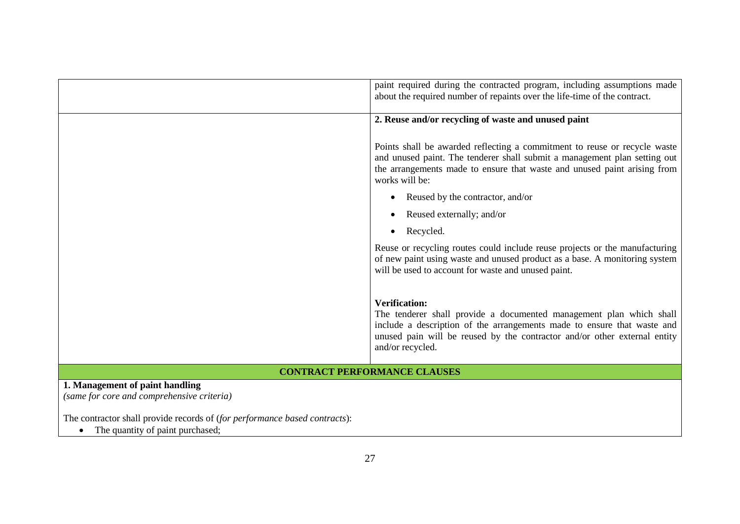|                                                                                                                | paint required during the contracted program, including assumptions made<br>about the required number of repaints over the life-time of the contract.                                                                                                                   |
|----------------------------------------------------------------------------------------------------------------|-------------------------------------------------------------------------------------------------------------------------------------------------------------------------------------------------------------------------------------------------------------------------|
|                                                                                                                | 2. Reuse and/or recycling of waste and unused paint                                                                                                                                                                                                                     |
|                                                                                                                | Points shall be awarded reflecting a commitment to reuse or recycle waste<br>and unused paint. The tenderer shall submit a management plan setting out<br>the arrangements made to ensure that waste and unused paint arising from<br>works will be:                    |
|                                                                                                                | Reused by the contractor, and/or                                                                                                                                                                                                                                        |
|                                                                                                                | Reused externally; and/or                                                                                                                                                                                                                                               |
|                                                                                                                | Recycled.                                                                                                                                                                                                                                                               |
|                                                                                                                | Reuse or recycling routes could include reuse projects or the manufacturing<br>of new paint using waste and unused product as a base. A monitoring system<br>will be used to account for waste and unused paint.                                                        |
|                                                                                                                | <b>Verification:</b><br>The tenderer shall provide a documented management plan which shall<br>include a description of the arrangements made to ensure that waste and<br>unused pain will be reused by the contractor and/or other external entity<br>and/or recycled. |
|                                                                                                                | <b>CONTRACT PERFORMANCE CLAUSES</b>                                                                                                                                                                                                                                     |
| 1. Management of paint handling<br>(same for core and comprehensive criteria)                                  |                                                                                                                                                                                                                                                                         |
| The contractor shall provide records of (for performance based contracts):<br>The quantity of paint purchased; |                                                                                                                                                                                                                                                                         |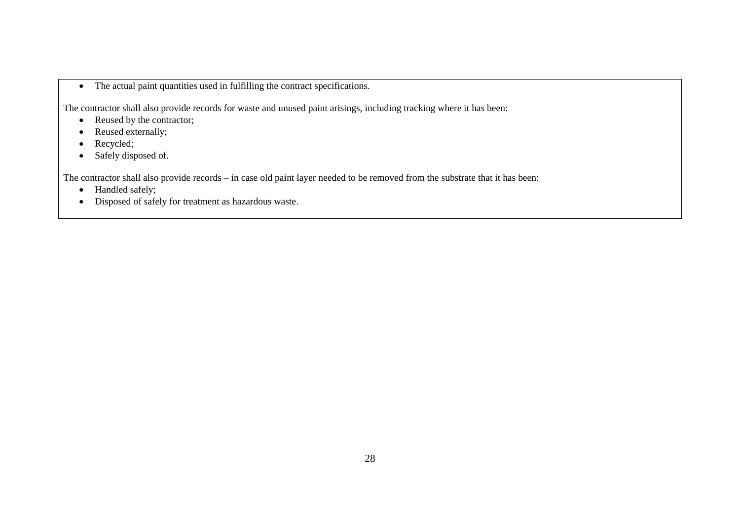• The actual paint quantities used in fulfilling the contract specifications.

The contractor shall also provide records for waste and unused paint arisings, including tracking where it has been:

- Reused by the contractor;
- Reused externally;
- Recycled;
- Safely disposed of.

The contractor shall also provide records – in case old paint layer needed to be removed from the substrate that it has been:

- Handled safely;
- Disposed of safely for treatment as hazardous waste.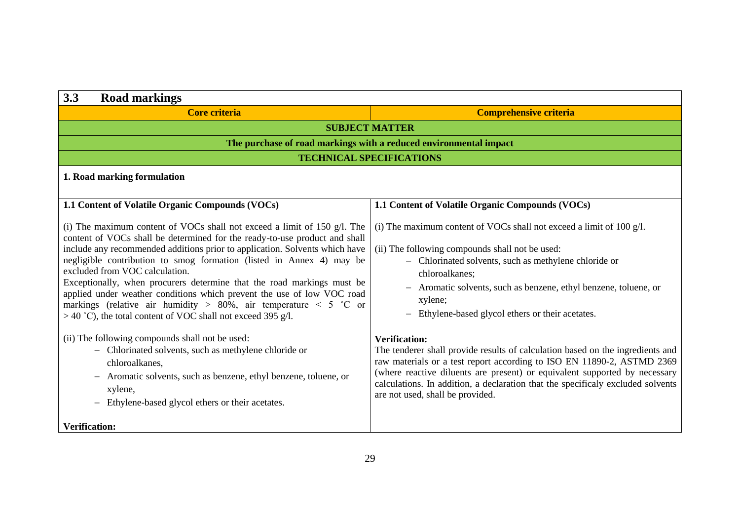| 3.3<br><b>Road markings</b>                                                                                                                                                                                                                                                                                                                                                                                                                                                                                                                                                                                                                                                                                                                                                                                                                                                                                         |                                                                                                                                                                                                                                                                                                                                                                                                                                                                                                                                                                                                                                                                                                                                   |  |  |  |
|---------------------------------------------------------------------------------------------------------------------------------------------------------------------------------------------------------------------------------------------------------------------------------------------------------------------------------------------------------------------------------------------------------------------------------------------------------------------------------------------------------------------------------------------------------------------------------------------------------------------------------------------------------------------------------------------------------------------------------------------------------------------------------------------------------------------------------------------------------------------------------------------------------------------|-----------------------------------------------------------------------------------------------------------------------------------------------------------------------------------------------------------------------------------------------------------------------------------------------------------------------------------------------------------------------------------------------------------------------------------------------------------------------------------------------------------------------------------------------------------------------------------------------------------------------------------------------------------------------------------------------------------------------------------|--|--|--|
| <b>Core criteria</b>                                                                                                                                                                                                                                                                                                                                                                                                                                                                                                                                                                                                                                                                                                                                                                                                                                                                                                | <b>Comprehensive criteria</b>                                                                                                                                                                                                                                                                                                                                                                                                                                                                                                                                                                                                                                                                                                     |  |  |  |
|                                                                                                                                                                                                                                                                                                                                                                                                                                                                                                                                                                                                                                                                                                                                                                                                                                                                                                                     | <b>SUBJECT MATTER</b>                                                                                                                                                                                                                                                                                                                                                                                                                                                                                                                                                                                                                                                                                                             |  |  |  |
|                                                                                                                                                                                                                                                                                                                                                                                                                                                                                                                                                                                                                                                                                                                                                                                                                                                                                                                     | The purchase of road markings with a reduced environmental impact                                                                                                                                                                                                                                                                                                                                                                                                                                                                                                                                                                                                                                                                 |  |  |  |
|                                                                                                                                                                                                                                                                                                                                                                                                                                                                                                                                                                                                                                                                                                                                                                                                                                                                                                                     | <b>TECHNICAL SPECIFICATIONS</b>                                                                                                                                                                                                                                                                                                                                                                                                                                                                                                                                                                                                                                                                                                   |  |  |  |
| 1. Road marking formulation                                                                                                                                                                                                                                                                                                                                                                                                                                                                                                                                                                                                                                                                                                                                                                                                                                                                                         |                                                                                                                                                                                                                                                                                                                                                                                                                                                                                                                                                                                                                                                                                                                                   |  |  |  |
| 1.1 Content of Volatile Organic Compounds (VOCs)                                                                                                                                                                                                                                                                                                                                                                                                                                                                                                                                                                                                                                                                                                                                                                                                                                                                    | 1.1 Content of Volatile Organic Compounds (VOCs)                                                                                                                                                                                                                                                                                                                                                                                                                                                                                                                                                                                                                                                                                  |  |  |  |
| (i) The maximum content of VOCs shall not exceed a limit of 150 $g/l$ . The<br>content of VOCs shall be determined for the ready-to-use product and shall<br>include any recommended additions prior to application. Solvents which have<br>negligible contribution to smog formation (listed in Annex 4) may be<br>excluded from VOC calculation.<br>Exceptionally, when procurers determine that the road markings must be<br>applied under weather conditions which prevent the use of low VOC road<br>markings (relative air humidity > 80%, air temperature < 5 °C or<br>$>$ 40 °C), the total content of VOC shall not exceed 395 g/l.<br>(ii) The following compounds shall not be used:<br>- Chlorinated solvents, such as methylene chloride or<br>chloroalkanes,<br>- Aromatic solvents, such as benzene, ethyl benzene, toluene, or<br>xylene,<br>Ethylene-based glycol ethers or their acetates.<br>$-$ | (i) The maximum content of VOCs shall not exceed a limit of $100$ g/l.<br>(ii) The following compounds shall not be used:<br>- Chlorinated solvents, such as methylene chloride or<br>chloroalkanes;<br>- Aromatic solvents, such as benzene, ethyl benzene, toluene, or<br>xylene;<br>- Ethylene-based glycol ethers or their acetates.<br><b>Verification:</b><br>The tenderer shall provide results of calculation based on the ingredients and<br>raw materials or a test report according to ISO EN 11890-2, ASTMD 2369<br>(where reactive diluents are present) or equivalent supported by necessary<br>calculations. In addition, a declaration that the specificaly excluded solvents<br>are not used, shall be provided. |  |  |  |
| <b>Verification:</b>                                                                                                                                                                                                                                                                                                                                                                                                                                                                                                                                                                                                                                                                                                                                                                                                                                                                                                |                                                                                                                                                                                                                                                                                                                                                                                                                                                                                                                                                                                                                                                                                                                                   |  |  |  |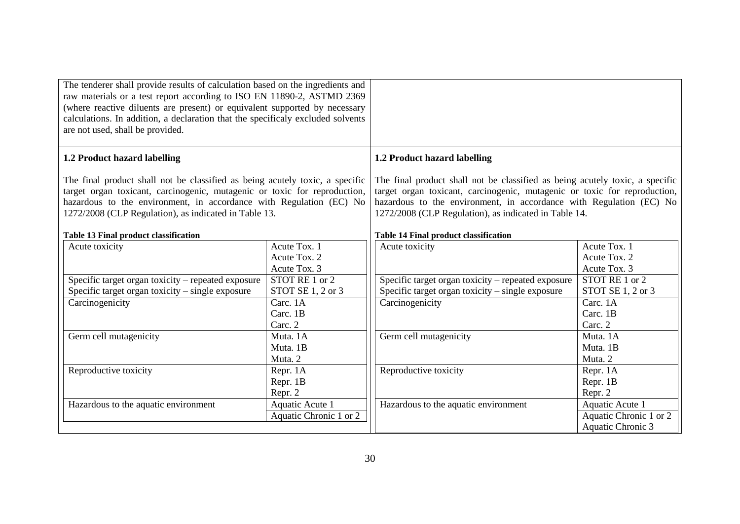<span id="page-30-1"></span><span id="page-30-0"></span>

| The tenderer shall provide results of calculation based on the ingredients and<br>raw materials or a test report according to ISO EN 11890-2, ASTMD 2369<br>(where reactive diluents are present) or equivalent supported by necessary<br>calculations. In addition, a declaration that the specificaly excluded solvents<br>are not used, shall be provided. |                                                     |                                                                                                                                                                                                                                                                                                                                           |                                                                |  |
|---------------------------------------------------------------------------------------------------------------------------------------------------------------------------------------------------------------------------------------------------------------------------------------------------------------------------------------------------------------|-----------------------------------------------------|-------------------------------------------------------------------------------------------------------------------------------------------------------------------------------------------------------------------------------------------------------------------------------------------------------------------------------------------|----------------------------------------------------------------|--|
| 1.2 Product hazard labelling                                                                                                                                                                                                                                                                                                                                  |                                                     | 1.2 Product hazard labelling                                                                                                                                                                                                                                                                                                              |                                                                |  |
| The final product shall not be classified as being acutely toxic, a specific<br>target organ toxicant, carcinogenic, mutagenic or toxic for reproduction,<br>hazardous to the environment, in accordance with Regulation (EC) No<br>1272/2008 (CLP Regulation), as indicated in Table 13.<br><b>Table 13 Final product classification</b>                     |                                                     | The final product shall not be classified as being acutely toxic, a specific<br>target organ toxicant, carcinogenic, mutagenic or toxic for reproduction,<br>hazardous to the environment, in accordance with Regulation (EC) No<br>1272/2008 (CLP Regulation), as indicated in Table 14.<br><b>Table 14 Final product classification</b> |                                                                |  |
| Acute toxicity                                                                                                                                                                                                                                                                                                                                                | Acute Tox. 1<br>Acute Tox. 2                        | Acute toxicity                                                                                                                                                                                                                                                                                                                            | Acute Tox. 1<br>Acute Tox. 2                                   |  |
| Specific target organ toxicity - repeated exposure<br>Specific target organ toxicity – single exposure                                                                                                                                                                                                                                                        | Acute Tox. 3<br>STOT RE 1 or 2<br>STOT SE 1, 2 or 3 | Specific target organ toxicity – repeated exposure<br>Specific target organ toxicity – single exposure                                                                                                                                                                                                                                    | Acute Tox. 3<br>STOT RE 1 or 2<br>STOT SE 1, 2 or 3            |  |
| Carcinogenicity                                                                                                                                                                                                                                                                                                                                               | Carc. 1A<br>Carc. 1B<br>Carc. 2                     | Carcinogenicity                                                                                                                                                                                                                                                                                                                           | Carc. 1A<br>Carc. 1B<br>Carc. 2                                |  |
| Germ cell mutagenicity                                                                                                                                                                                                                                                                                                                                        | Muta. 1A<br>Muta. 1B<br>Muta. 2                     | Germ cell mutagenicity                                                                                                                                                                                                                                                                                                                    | Muta. 1A<br>Muta. 1B<br>Muta. 2                                |  |
| Reproductive toxicity                                                                                                                                                                                                                                                                                                                                         | Repr. 1A<br>Repr. 1B<br>Repr. 2                     | Reproductive toxicity                                                                                                                                                                                                                                                                                                                     | Repr. 1A<br>Repr. 1B<br>Repr. 2                                |  |
| Hazardous to the aquatic environment                                                                                                                                                                                                                                                                                                                          | Aquatic Acute 1<br>Aquatic Chronic 1 or 2           | Hazardous to the aquatic environment                                                                                                                                                                                                                                                                                                      | Aquatic Acute 1<br>Aquatic Chronic 1 or 2<br>Aquatic Chronic 3 |  |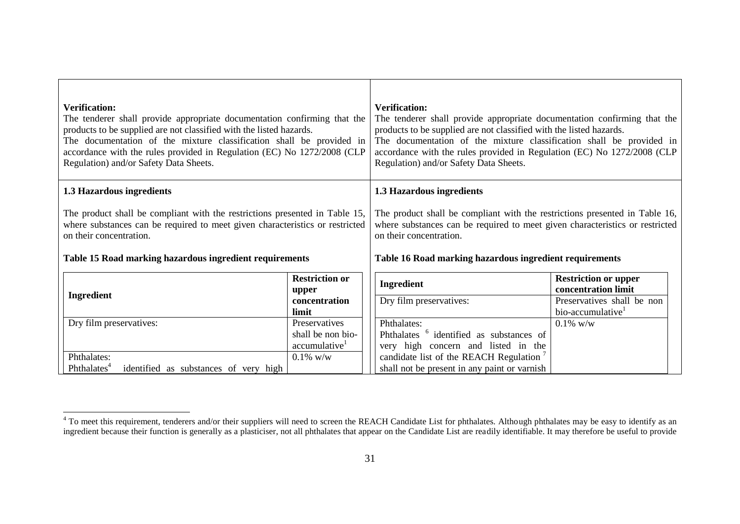| <b>Verification:</b><br>The tenderer shall provide appropriate documentation confirming that the<br>products to be supplied are not classified with the listed hazards.<br>The documentation of the mixture classification shall be provided in<br>accordance with the rules provided in Regulation (EC) No 1272/2008 (CLP<br>Regulation) and/or Safety Data Sheets. |                                                | <b>Verification:</b><br>The tenderer shall provide appropriate documentation confirming that the<br>products to be supplied are not classified with the listed hazards.<br>The documentation of the mixture classification shall be provided in<br>accordance with the rules provided in Regulation (EC) No 1272/2008 (CLP<br>Regulation) and/or Safety Data Sheets. |                                                             |  |  |
|----------------------------------------------------------------------------------------------------------------------------------------------------------------------------------------------------------------------------------------------------------------------------------------------------------------------------------------------------------------------|------------------------------------------------|----------------------------------------------------------------------------------------------------------------------------------------------------------------------------------------------------------------------------------------------------------------------------------------------------------------------------------------------------------------------|-------------------------------------------------------------|--|--|
| 1.3 Hazardous ingredients                                                                                                                                                                                                                                                                                                                                            |                                                | 1.3 Hazardous ingredients                                                                                                                                                                                                                                                                                                                                            |                                                             |  |  |
| The product shall be compliant with the restrictions presented in Table 15,<br>where substances can be required to meet given characteristics or restricted<br>on their concentration.<br>Table 15 Road marking hazardous ingredient requirements                                                                                                                    |                                                | The product shall be compliant with the restrictions presented in Table 16,<br>where substances can be required to meet given characteristics or restricted<br>on their concentration.<br>Table 16 Road marking hazardous ingredient requirements                                                                                                                    |                                                             |  |  |
|                                                                                                                                                                                                                                                                                                                                                                      | <b>Restriction or</b><br>upper                 | <b>Ingredient</b>                                                                                                                                                                                                                                                                                                                                                    | <b>Restriction or upper</b><br>concentration limit          |  |  |
| Ingredient                                                                                                                                                                                                                                                                                                                                                           | concentration<br>limit                         | Dry film preservatives:                                                                                                                                                                                                                                                                                                                                              | Preservatives shall be non<br>bio-accumulative <sup>1</sup> |  |  |
| Dry film preservatives:                                                                                                                                                                                                                                                                                                                                              | Preservatives                                  | Phthalates:                                                                                                                                                                                                                                                                                                                                                          | $0.1\%$ w/w                                                 |  |  |
|                                                                                                                                                                                                                                                                                                                                                                      | shall be non bio-<br>accumulative <sup>1</sup> | Phthalates <sup>6</sup> identified as substances of                                                                                                                                                                                                                                                                                                                  |                                                             |  |  |
| Phthalates:                                                                                                                                                                                                                                                                                                                                                          | $0.1\%$ w/w                                    | very high concern and listed in the<br>candidate list of the REACH Regulation <sup>7</sup>                                                                                                                                                                                                                                                                           |                                                             |  |  |
| Phthalates <sup>4</sup><br>identified as substances of very high                                                                                                                                                                                                                                                                                                     |                                                | shall not be present in any paint or varnish                                                                                                                                                                                                                                                                                                                         |                                                             |  |  |

<span id="page-31-1"></span><span id="page-31-0"></span>l

<sup>&</sup>lt;sup>4</sup> To meet this requirement, tenderers and/or their suppliers will need to screen the REACH Candidate List for phthalates. Although phthalates may be easy to identify as an ingredient because their function is generally as a plasticiser, not all phthalates that appear on the Candidate List are readily identifiable. It may therefore be useful to provide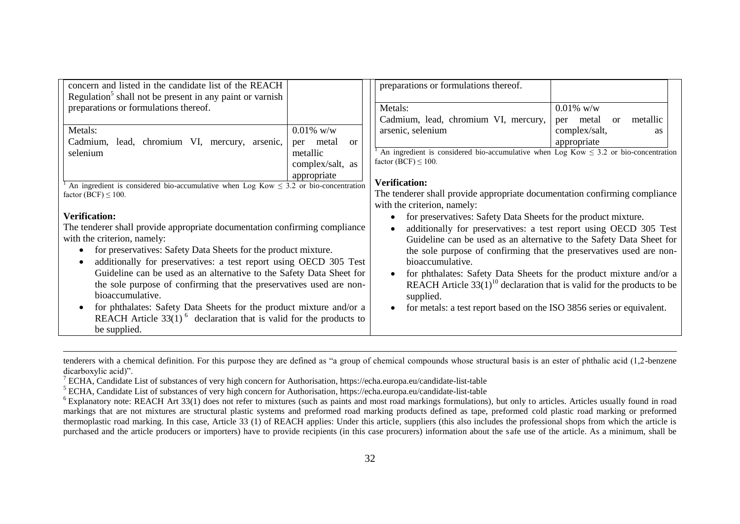| concern and listed in the candidate list of the REACH                                     |                               | preparations or formulations thereof.                                                     |                                           |
|-------------------------------------------------------------------------------------------|-------------------------------|-------------------------------------------------------------------------------------------|-------------------------------------------|
| Regulation <sup>5</sup> shall not be present in any paint or varnish                      |                               |                                                                                           |                                           |
| preparations or formulations thereof.                                                     |                               | Metals:                                                                                   | $0.01\%$ w/w                              |
|                                                                                           |                               | Cadmium, lead, chromium VI, mercury,                                                      | metallic<br>metal<br><sub>or</sub><br>per |
| Metals:                                                                                   | $0.01\%$ w/w                  | arsenic, selenium                                                                         | complex/salt,<br><b>as</b>                |
| Cadmium,<br>lead, chromium VI, mercury, arsenic,                                          | metal<br><sub>or</sub><br>per |                                                                                           | appropriate                               |
| selenium                                                                                  | metallic                      | An ingredient is considered bio-accumulative when Log Kow $\leq$ 3.2 or bio-concentration |                                           |
|                                                                                           | complex/salt, as              | factor (BCF) $\leq 100$ .                                                                 |                                           |
|                                                                                           | appropriate                   |                                                                                           |                                           |
| An ingredient is considered bio-accumulative when Log Kow $\leq$ 3.2 or bio-concentration |                               | <b>Verification:</b>                                                                      |                                           |
| factor (BCF) $\leq$ 100.                                                                  |                               | The tenderer shall provide appropriate documentation confirming compliance                |                                           |
|                                                                                           |                               | with the criterion, namely:                                                               |                                           |
| <b>Verification:</b>                                                                      |                               | for preservatives: Safety Data Sheets for the product mixture.                            |                                           |
| The tenderer shall provide appropriate documentation confirming compliance                |                               | additionally for preservatives: a test report using OECD 305 Test                         |                                           |
| with the criterion, namely:                                                               |                               | Guideline can be used as an alternative to the Safety Data Sheet for                      |                                           |
| for preservatives: Safety Data Sheets for the product mixture.<br>$\bullet$               |                               | the sole purpose of confirming that the preservatives used are non-                       |                                           |
| additionally for preservatives: a test report using OECD 305 Test<br>$\bullet$            |                               | bioaccumulative.                                                                          |                                           |
| Guideline can be used as an alternative to the Safety Data Sheet for                      |                               | for phthalates: Safety Data Sheets for the product mixture and/or a                       |                                           |
| the sole purpose of confirming that the preservatives used are non-                       |                               | REACH Article $33(1)^{10}$ declaration that is valid for the products to be               |                                           |
| bioaccumulative.                                                                          |                               | supplied.                                                                                 |                                           |
| for phthalates: Safety Data Sheets for the product mixture and/or a<br>$\bullet$          |                               | for metals: a test report based on the ISO 3856 series or equivalent.                     |                                           |
| REACH Article $33(1)^6$ declaration that is valid for the products to                     |                               |                                                                                           |                                           |
|                                                                                           |                               |                                                                                           |                                           |
| be supplied.                                                                              |                               |                                                                                           |                                           |

tenderers with a chemical definition. For this purpose they are defined as "a group of chemical compounds whose structural basis is an ester of phthalic acid (1,2-benzene dicarboxylic acid)".

l

<sup>7</sup> ECHA, Candidate List of substances of very high concern for Authorisation, https://echa.europa.eu/candidate-list-table

<sup>&</sup>lt;sup>5</sup> ECHA, Candidate List of substances of very high concern for Authorisation, https://echa.europa.eu/candidate-list-table

 $6$  Explanatory note: REACH Art 33(1) does not refer to mixtures (such as paints and most road markings formulations), but only to articles. Articles usually found in road markings that are not mixtures are structural plastic systems and preformed road marking products defined as tape, preformed cold plastic road marking or preformed thermoplastic road marking. In this case, Article 33 (1) of REACH applies: Under this article, suppliers (this also includes the professional shops from which the article is purchased and the article producers or importers) have to provide recipients (in this case procurers) information about the safe use of the article. As a minimum, shall be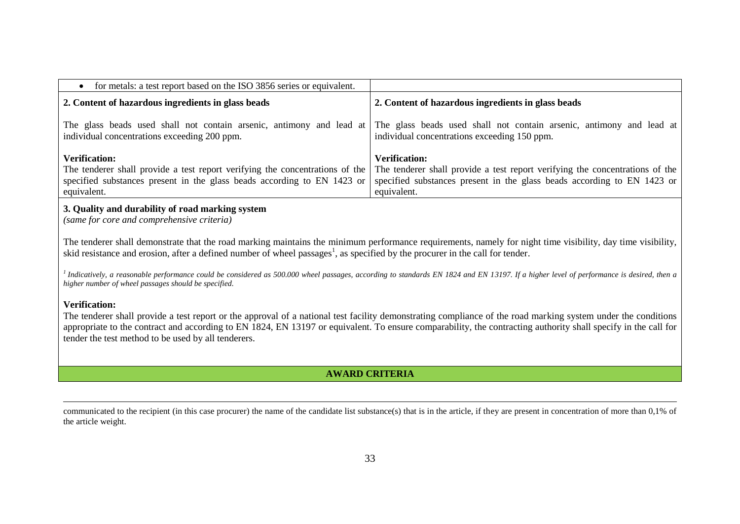| for metals: a test report based on the ISO 3856 series or equivalent.                                                                                                                          |                                                                                                                                                                                                |
|------------------------------------------------------------------------------------------------------------------------------------------------------------------------------------------------|------------------------------------------------------------------------------------------------------------------------------------------------------------------------------------------------|
| 2. Content of hazardous ingredients in glass beads                                                                                                                                             | 2. Content of hazardous ingredients in glass beads                                                                                                                                             |
| individual concentrations exceeding 200 ppm.                                                                                                                                                   | The glass beads used shall not contain arsenic, antimony and lead at The glass beads used shall not contain arsenic, antimony and lead at<br>individual concentrations exceeding 150 ppm.      |
| <b>Verification:</b><br>The tenderer shall provide a test report verifying the concentrations of the<br>specified substances present in the glass beads according to EN 1423 or<br>equivalent. | <b>Verification:</b><br>The tenderer shall provide a test report verifying the concentrations of the<br>specified substances present in the glass beads according to EN 1423 or<br>equivalent. |
|                                                                                                                                                                                                |                                                                                                                                                                                                |

#### **3. Quality and durability of road marking system**

*(same for core and comprehensive criteria)*

The tenderer shall demonstrate that the road marking maintains the minimum performance requirements, namely for night time visibility, day time visibility, skid resistance and erosion, after a defined number of wheel passages<sup>1</sup>, as specified by the procurer in the call for tender.

<sup>1</sup> Indicatively, a reasonable performance could be considered as 500.000 wheel passages, according to standards EN 1824 and EN 13197. If a higher level of performance is desired, then a *higher number of wheel passages should be specified.*

#### **Verification:**

 $\overline{a}$ 

The tenderer shall provide a test report or the approval of a national test facility demonstrating compliance of the road marking system under the conditions appropriate to the contract and according to EN 1824, EN 13197 or equivalent. To ensure comparability, the contracting authority shall specify in the call for tender the test method to be used by all tenderers.

## **AWARD CRITERIA**

communicated to the recipient (in this case procurer) the name of the candidate list substance(s) that is in the article, if they are present in concentration of more than 0,1% of the article weight.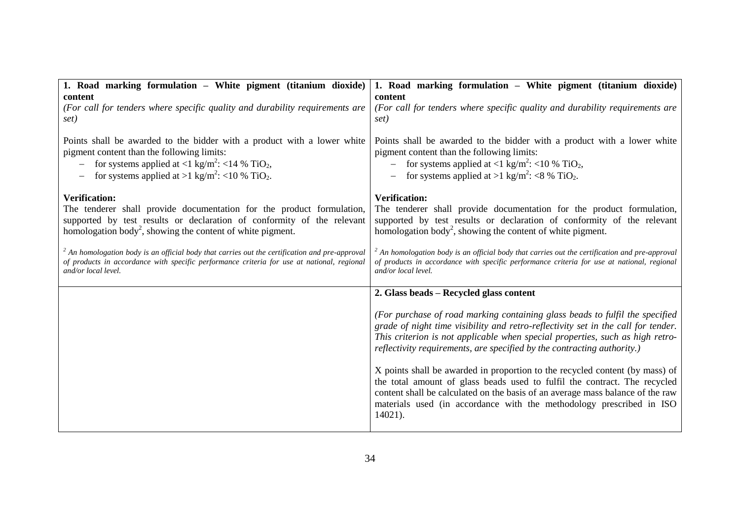| 1. Road marking formulation - White pigment (titanium dioxide)                                                                                                                                                                                                                                          | 1. Road marking formulation – White pigment (titanium dioxide)                                                                                                                                                                                                                                                                    |
|---------------------------------------------------------------------------------------------------------------------------------------------------------------------------------------------------------------------------------------------------------------------------------------------------------|-----------------------------------------------------------------------------------------------------------------------------------------------------------------------------------------------------------------------------------------------------------------------------------------------------------------------------------|
| content<br>(For call for tenders where specific quality and durability requirements are<br>set)                                                                                                                                                                                                         | content<br>(For call for tenders where specific quality and durability requirements are<br>set)                                                                                                                                                                                                                                   |
| Points shall be awarded to the bidder with a product with a lower white<br>pigment content than the following limits:<br>- for systems applied at <1 kg/m <sup>2</sup> : <14 % TiO <sub>2</sub> ,<br>for systems applied at >1 kg/m <sup>2</sup> : <10 % TiO <sub>2</sub> .<br>$\overline{\phantom{m}}$ | Points shall be awarded to the bidder with a product with a lower white<br>pigment content than the following limits:<br>for systems applied at <1 kg/m <sup>2</sup> : <10 % TiO <sub>2</sub> ,<br>for systems applied at >1 kg/m <sup>2</sup> : <8 % TiO <sub>2</sub> .                                                          |
| <b>Verification:</b><br>The tenderer shall provide documentation for the product formulation,<br>supported by test results or declaration of conformity of the relevant<br>homologation body <sup>2</sup> , showing the content of white pigment.                                                       | <b>Verification:</b><br>The tenderer shall provide documentation for the product formulation,<br>supported by test results or declaration of conformity of the relevant<br>homologation body <sup>2</sup> , showing the content of white pigment.                                                                                 |
| $2$ An homologation body is an official body that carries out the certification and pre-approval<br>of products in accordance with specific performance criteria for use at national, regional<br>and/or local level.                                                                                   | $\alpha$ <sup>2</sup> An homologation body is an official body that carries out the certification and pre-approval<br>of products in accordance with specific performance criteria for use at national, regional<br>and/or local level.                                                                                           |
|                                                                                                                                                                                                                                                                                                         | 2. Glass beads – Recycled glass content                                                                                                                                                                                                                                                                                           |
|                                                                                                                                                                                                                                                                                                         | (For purchase of road marking containing glass beads to fulfil the specified<br>grade of night time visibility and retro-reflectivity set in the call for tender.<br>This criterion is not applicable when special properties, such as high retro-<br>reflectivity requirements, are specified by the contracting authority.)     |
|                                                                                                                                                                                                                                                                                                         | X points shall be awarded in proportion to the recycled content (by mass) of<br>the total amount of glass beads used to fulfil the contract. The recycled<br>content shall be calculated on the basis of an average mass balance of the raw<br>materials used (in accordance with the methodology prescribed in ISO<br>$14021$ ). |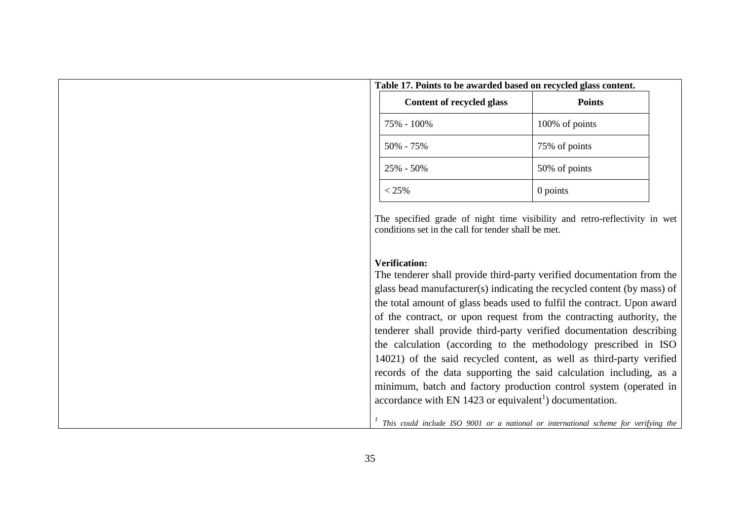| Table 17. Points to be awarded based on recycled glass content. |                |
|-----------------------------------------------------------------|----------------|
| Content of recycled glass                                       | <b>Points</b>  |
| 75% - 100%                                                      | 100% of points |
| $50\% - 75\%$                                                   | 75% of points  |
| $25\% - 50\%$                                                   | 50% of points  |
| $< 25\%$                                                        | 0 points       |

The specified grade of night time visibility and retro-reflectivity in wet conditions set in the call for tender shall be met.

#### **Verification:**

The tenderer shall provide third-party verified documentation from the glass bead manufacturer(s) indicating the recycled content (by mass) of the total amount of glass beads used to fulfil the contract. Upon award of the contract, or upon request from the contracting authority, the tenderer shall provide third-party verified documentation describing the calculation (according to the methodology prescribed in ISO 14021) of the said recycled content, as well as third-party verified records of the data supporting the said calculation including, as a minimum, batch and factory production control system (operated in accordance with EN 1423 or equivalent<sup>1</sup>) documentation.

<sup>1</sup> This could include ISO 9001 or a national or international scheme for verifying the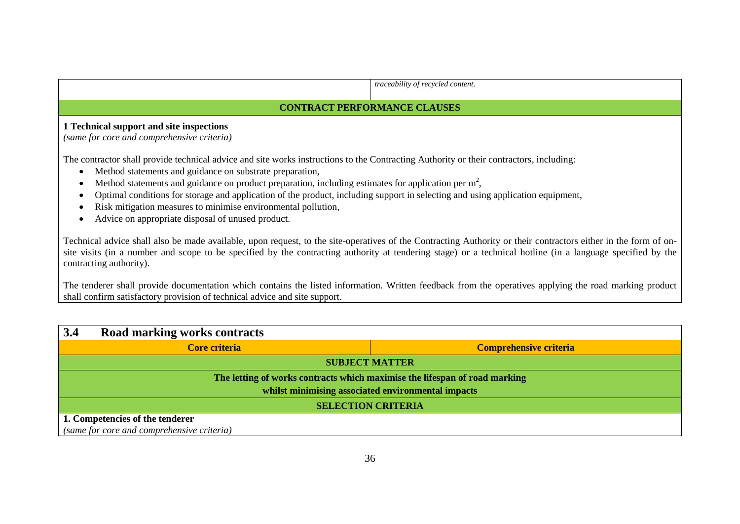|                                                                                                                                                                                             | traceability of recycled content.                                                                                                                                                                                                                                                                                             |
|---------------------------------------------------------------------------------------------------------------------------------------------------------------------------------------------|-------------------------------------------------------------------------------------------------------------------------------------------------------------------------------------------------------------------------------------------------------------------------------------------------------------------------------|
| <b>CONTRACT PERFORMANCE CLAUSES</b>                                                                                                                                                         |                                                                                                                                                                                                                                                                                                                               |
| 1 Technical support and site inspections                                                                                                                                                    |                                                                                                                                                                                                                                                                                                                               |
| (same for core and comprehensive criteria)                                                                                                                                                  |                                                                                                                                                                                                                                                                                                                               |
| The contractor shall provide technical advice and site works instructions to the Contracting Authority or their contractors, including:                                                     |                                                                                                                                                                                                                                                                                                                               |
| Method statements and guidance on substrate preparation,<br>$\bullet$<br>Method statements and guidance on product preparation, including estimates for application per $m2$ ,<br>$\bullet$ |                                                                                                                                                                                                                                                                                                                               |
| Optimal conditions for storage and application of the product, including support in selecting and using application equipment,<br>$\bullet$                                                 |                                                                                                                                                                                                                                                                                                                               |
| Risk mitigation measures to minimise environmental pollution,<br>$\bullet$                                                                                                                  |                                                                                                                                                                                                                                                                                                                               |
| Advice on appropriate disposal of unused product.<br>$\bullet$                                                                                                                              |                                                                                                                                                                                                                                                                                                                               |
| contracting authority).                                                                                                                                                                     | Technical advice shall also be made available, upon request, to the site-operatives of the Contracting Authority or their contractors either in the form of on-<br>site visits (in a number and scope to be specified by the contracting authority at tendering stage) or a technical hotline (in a language specified by the |
|                                                                                                                                                                                             | The tenderer shall provide documentation which contains the listed information. Written feedback from the operatives applying the road marking product                                                                                                                                                                        |

The tenderer shall provide documentation which contains the listed information. Written feedback from the operatives applying the road marking product shall confirm satisfactory provision of technical advice and site support.

| 3.4                                                                        | Road marking works contracts               |                               |
|----------------------------------------------------------------------------|--------------------------------------------|-------------------------------|
|                                                                            | Core criteria                              | <b>Comprehensive criteria</b> |
| <b>SUBJECT MATTER</b>                                                      |                                            |                               |
| The letting of works contracts which maximise the lifespan of road marking |                                            |                               |
| whilst minimising associated environmental impacts                         |                                            |                               |
| <b>SELECTION CRITERIA</b>                                                  |                                            |                               |
|                                                                            | 1. Competencies of the tenderer            |                               |
|                                                                            | (same for core and comprehensive criteria) |                               |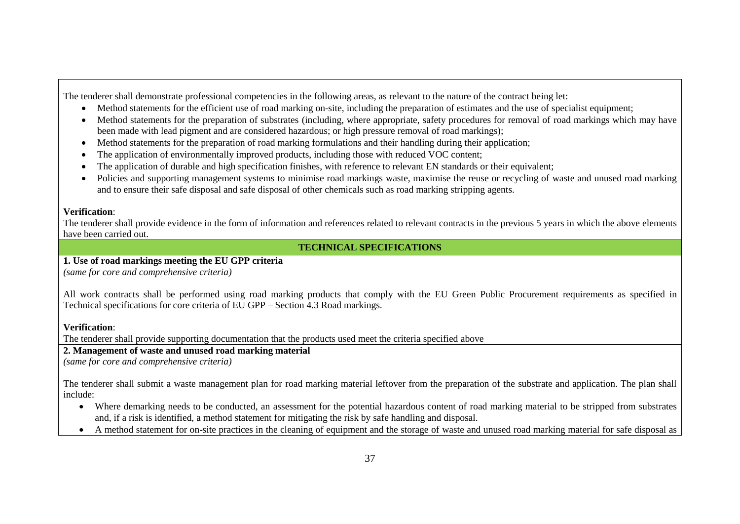The tenderer shall demonstrate professional competencies in the following areas, as relevant to the nature of the contract being let:

- Method statements for the efficient use of road marking on-site, including the preparation of estimates and the use of specialist equipment;
- Method statements for the preparation of substrates (including, where appropriate, safety procedures for removal of road markings which may have been made with lead pigment and are considered hazardous; or high pressure removal of road markings);
- Method statements for the preparation of road marking formulations and their handling during their application;
- The application of environmentally improved products, including those with reduced VOC content;
- The application of durable and high specification finishes, with reference to relevant EN standards or their equivalent;
- Policies and supporting management systems to minimise road markings waste, maximise the reuse or recycling of waste and unused road marking and to ensure their safe disposal and safe disposal of other chemicals such as road marking stripping agents.

#### **Verification**:

The tenderer shall provide evidence in the form of information and references related to relevant contracts in the previous 5 years in which the above elements have been carried out.

## **TECHNICAL SPECIFICATIONS**

## **1. Use of road markings meeting the EU GPP criteria**

*(same for core and comprehensive criteria)*

All work contracts shall be performed using road marking products that comply with the EU Green Public Procurement requirements as specified in Technical specifications for core criteria of EU GPP – Section 4.3 Road markings.

### **Verification**:

The tenderer shall provide supporting documentation that the products used meet the criteria specified above

### **2. Management of waste and unused road marking material**

*(same for core and comprehensive criteria)*

The tenderer shall submit a waste management plan for road marking material leftover from the preparation of the substrate and application. The plan shall include:

- Where demarking needs to be conducted, an assessment for the potential hazardous content of road marking material to be stripped from substrates and, if a risk is identified, a method statement for mitigating the risk by safe handling and disposal.
- A method statement for on-site practices in the cleaning of equipment and the storage of waste and unused road marking material for safe disposal as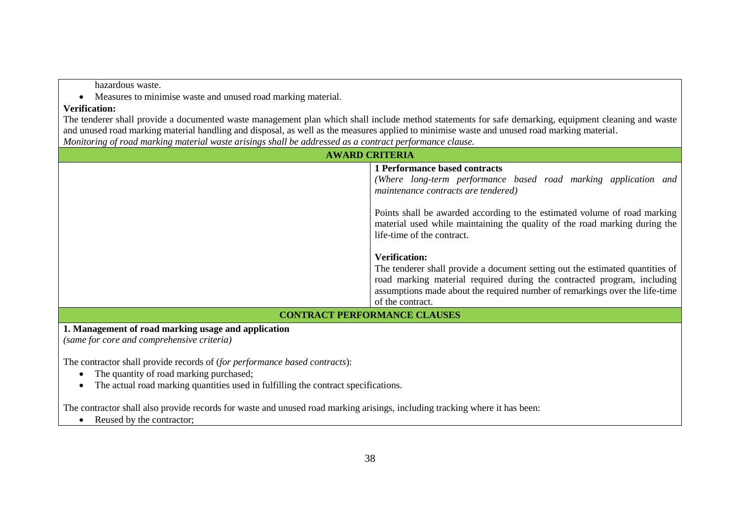hazardous waste.

Measures to minimise waste and unused road marking material.

#### **Verification:**

The tenderer shall provide a documented waste management plan which shall include method statements for safe demarking, equipment cleaning and waste and unused road marking material handling and disposal, as well as the measures applied to minimise waste and unused road marking material. *Monitoring of road marking material waste arisings shall be addressed as a contract performance clause.*

| <b>AWARD CRITERIA</b>                                                                                                                                                                                       |                                                                                                                                                                                                                                                                                     |
|-------------------------------------------------------------------------------------------------------------------------------------------------------------------------------------------------------------|-------------------------------------------------------------------------------------------------------------------------------------------------------------------------------------------------------------------------------------------------------------------------------------|
|                                                                                                                                                                                                             | 1 Performance based contracts<br>(Where long-term performance based road marking application and<br>maintenance contracts are tendered)                                                                                                                                             |
|                                                                                                                                                                                                             | Points shall be awarded according to the estimated volume of road marking<br>material used while maintaining the quality of the road marking during the<br>life-time of the contract.                                                                                               |
|                                                                                                                                                                                                             | <b>Verification:</b><br>The tenderer shall provide a document setting out the estimated quantities of<br>road marking material required during the contracted program, including<br>assumptions made about the required number of remarkings over the life-time<br>of the contract. |
|                                                                                                                                                                                                             | <b>CONTRACT PERFORMANCE CLAUSES</b>                                                                                                                                                                                                                                                 |
| 1. Management of road marking usage and application<br>(same for core and comprehensive criteria)                                                                                                           |                                                                                                                                                                                                                                                                                     |
| The contractor shall provide records of (for performance based contracts):<br>The quantity of road marking purchased;<br>The actual road marking quantities used in fulfilling the contract specifications. |                                                                                                                                                                                                                                                                                     |
| The contractor shall also provide records for waste and unused road marking arisings, including tracking where it has been:                                                                                 |                                                                                                                                                                                                                                                                                     |

• Reused by the contractor;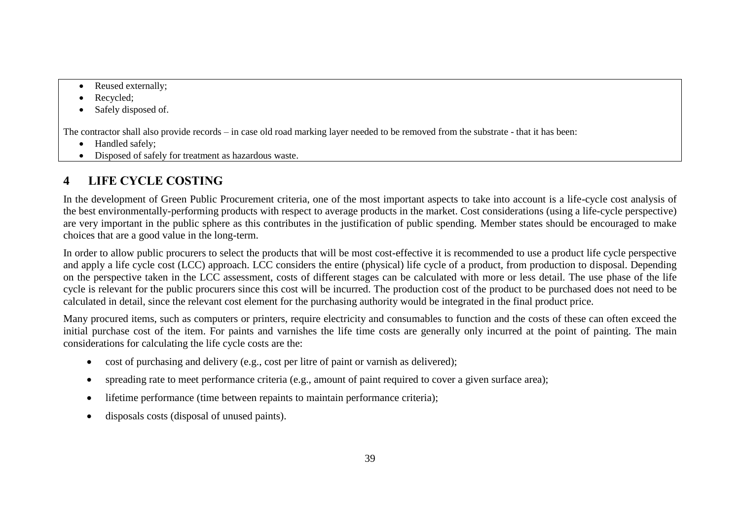- Reused externally;
- Recycled;
- Safely disposed of.

The contractor shall also provide records – in case old road marking layer needed to be removed from the substrate - that it has been:

- Handled safely:
- Disposed of safely for treatment as hazardous waste.

# **4 LIFE CYCLE COSTING**

In the development of Green Public Procurement criteria, one of the most important aspects to take into account is a life-cycle cost analysis of the best environmentally-performing products with respect to average products in the market. Cost considerations (using a life-cycle perspective) are very important in the public sphere as this contributes in the justification of public spending. Member states should be encouraged to make choices that are a good value in the long-term.

In order to allow public procurers to select the products that will be most cost-effective it is recommended to use a product life cycle perspective and apply a life cycle cost (LCC) approach. LCC considers the entire (physical) life cycle of a product, from production to disposal. Depending on the perspective taken in the LCC assessment, costs of different stages can be calculated with more or less detail. The use phase of the life cycle is relevant for the public procurers since this cost will be incurred. The production cost of the product to be purchased does not need to be calculated in detail, since the relevant cost element for the purchasing authority would be integrated in the final product price.

Many procured items, such as computers or printers, require electricity and consumables to function and the costs of these can often exceed the initial purchase cost of the item. For paints and varnishes the life time costs are generally only incurred at the point of painting. The main considerations for calculating the life cycle costs are the:

- cost of purchasing and delivery (e.g., cost per litre of paint or varnish as delivered);
- spreading rate to meet performance criteria (e.g., amount of paint required to cover a given surface area);
- lifetime performance (time between repaints to maintain performance criteria);
- disposals costs (disposal of unused paints).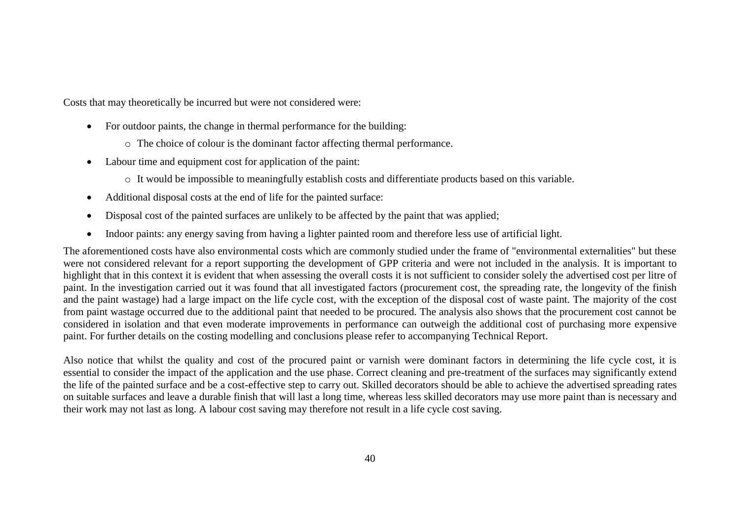Costs that may theoretically be incurred but were not considered were:

- For outdoor paints, the change in thermal performance for the building:
	- o The choice of colour is the dominant factor affecting thermal performance.
- Labour time and equipment cost for application of the paint:
	- o It would be impossible to meaningfully establish costs and differentiate products based on this variable.
- Additional disposal costs at the end of life for the painted surface:
- Disposal cost of the painted surfaces are unlikely to be affected by the paint that was applied;
- Indoor paints: any energy saving from having a lighter painted room and therefore less use of artificial light.

The aforementioned costs have also environmental costs which are commonly studied under the frame of "environmental externalities" but these were not considered relevant for a report supporting the development of GPP criteria and were not included in the analysis. It is important to highlight that in this context it is evident that when assessing the overall costs it is not sufficient to consider solely the advertised cost per litre of paint. In the investigation carried out it was found that all investigated factors (procurement cost, the spreading rate, the longevity of the finish and the paint wastage) had a large impact on the life cycle cost, with the exception of the disposal cost of waste paint. The majority of the cost from paint wastage occurred due to the additional paint that needed to be procured. The analysis also shows that the procurement cost cannot be considered in isolation and that even moderate improvements in performance can outweigh the additional cost of purchasing more expensive paint. For further details on the costing modelling and conclusions please refer to accompanying Technical Report.

Also notice that whilst the quality and cost of the procured paint or varnish were dominant factors in determining the life cycle cost, it is essential to consider the impact of the application and the use phase. Correct cleaning and pre-treatment of the surfaces may significantly extend the life of the painted surface and be a cost-effective step to carry out. Skilled decorators should be able to achieve the advertised spreading rates on suitable surfaces and leave a durable finish that will last a long time, whereas less skilled decorators may use more paint than is necessary and their work may not last as long. A labour cost saving may therefore not result in a life cycle cost saving.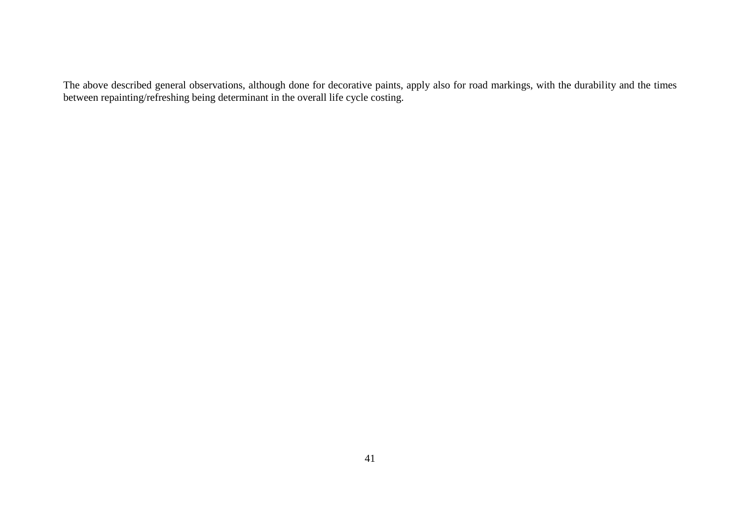The above described general observations, although done for decorative paints, apply also for road markings, with the durability and the times between repainting/refreshing being determinant in the overall life cycle costing.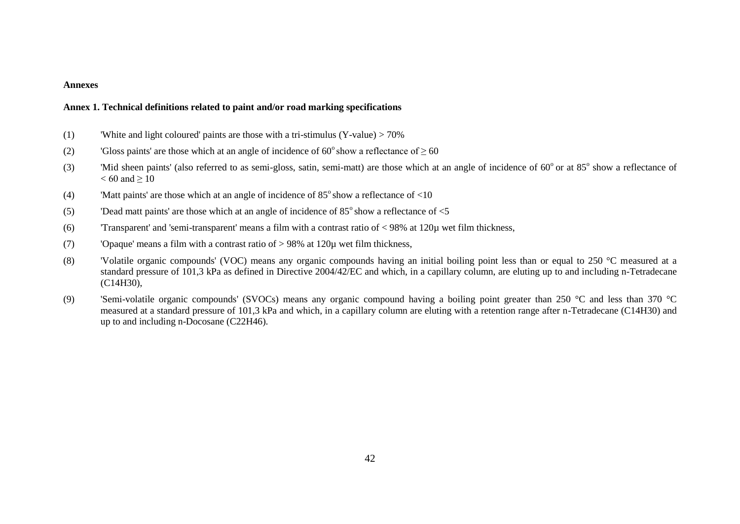#### **Annexes**

#### **Annex 1. Technical definitions related to paint and/or road marking specifications**

- (1) 'White and light coloured' paints are those with a tri-stimulus  $(Y-value) > 70\%$
- (2) 'Gloss paints' are those which at an angle of incidence of 60 $\degree$ show a reflectance of  $\geq$  60
- (3) 'Mid sheen paints' (also referred to as semi-gloss, satin, semi-matt) are those which at an angle of incidence of  $60^{\circ}$  or at  $85^{\circ}$  show a reflectance of  $< 60$  and  $> 10$
- (4) 'Matt paints' are those which at an angle of incidence of  $85^{\circ}$  show a reflectance of  $\leq 10$
- (5) 'Dead matt paints' are those which at an angle of incidence of  $85^{\circ}$  show a reflectance of  $\leq 5$
- (6) 'Transparent' and 'semi-transparent' means a film with a contrast ratio of  $\langle 98\% \text{ at } 120 \mu \text{ wet film thickness, }$
- (7) 'Opaque' means a film with a contrast ratio of > 98% at 120µ wet film thickness,
- (8) 'Volatile organic compounds' (VOC) means any organic compounds having an initial boiling point less than or equal to 250 °C measured at a standard pressure of 101,3 kPa as defined in Directive 2004/42/EC and which, in a capillary column, are eluting up to and including n-Tetradecane (C14H30),
- (9) 'Semi-volatile organic compounds' (SVOCs) means any organic compound having a boiling point greater than 250 °C and less than 370 °C measured at a standard pressure of 101,3 kPa and which, in a capillary column are eluting with a retention range after n-Tetradecane (C14H30) and up to and including n-Docosane (C22H46).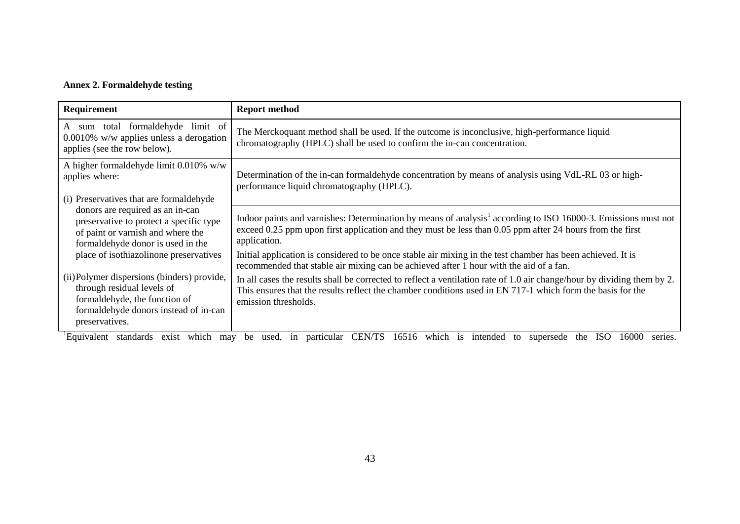## **Annex 2. Formaldehyde testing**

| Requirement                                                                                                                                                           | <b>Report method</b>                                                                                                                                                                                                                                          |
|-----------------------------------------------------------------------------------------------------------------------------------------------------------------------|---------------------------------------------------------------------------------------------------------------------------------------------------------------------------------------------------------------------------------------------------------------|
| A sum total formaldehyde limit of<br>$0.0010\%$ w/w applies unless a derogation<br>applies (see the row below).                                                       | The Merckoquant method shall be used. If the outcome is inconclusive, high-performance liquid<br>chromatography (HPLC) shall be used to confirm the in-can concentration.                                                                                     |
| A higher formaldehyde limit 0.010% w/w<br>applies where:                                                                                                              | Determination of the in-can formal dehyde concentration by means of analysis using VdL-RL 03 or high-<br>performance liquid chromatography (HPLC).                                                                                                            |
| (i) Preservatives that are formaldehyde                                                                                                                               |                                                                                                                                                                                                                                                               |
| donors are required as an in-can<br>preservative to protect a specific type<br>of paint or varnish and where the<br>formaldehyde donor is used in the                 | Indoor paints and varnishes: Determination by means of analysis <sup>1</sup> according to ISO 16000-3. Emissions must not<br>exceed 0.25 ppm upon first application and they must be less than 0.05 ppm after 24 hours from the first<br>application.         |
| place of isothiazolinone preservatives                                                                                                                                | Initial application is considered to be once stable air mixing in the test chamber has been achieved. It is<br>recommended that stable air mixing can be achieved after 1 hour with the aid of a fan.                                                         |
| (ii) Polymer dispersions (binders) provide,<br>through residual levels of<br>formaldehyde, the function of<br>formaldehyde donors instead of in-can<br>preservatives. | In all cases the results shall be corrected to reflect a ventilation rate of 1.0 air change/hour by dividing them by 2.<br>This ensures that the results reflect the chamber conditions used in EN 717-1 which form the basis for the<br>emission thresholds. |

<sup>1</sup>Equivalent standards exist which may be used, in particular CEN/TS 16516 which is intended to supersede the ISO 16000 series.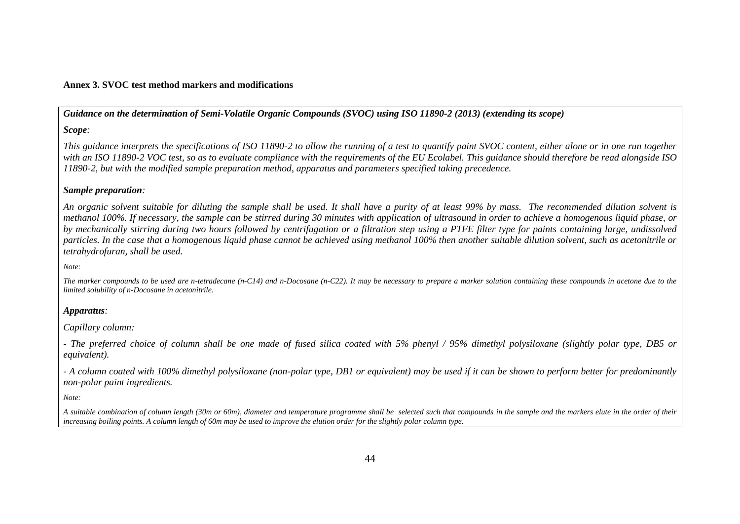#### **Annex 3. SVOC test method markers and modifications**

*Guidance on the determination of Semi-Volatile Organic Compounds (SVOC) using ISO 11890-2 (2013) (extending its scope)*

#### *Scope:*

*This guidance interprets the specifications of ISO 11890-2 to allow the running of a test to quantify paint SVOC content, either alone or in one run together with an ISO 11890-2 VOC test, so as to evaluate compliance with the requirements of the EU Ecolabel. This guidance should therefore be read alongside ISO 11890-2, but with the modified sample preparation method, apparatus and parameters specified taking precedence.*

#### *Sample preparation:*

*An organic solvent suitable for diluting the sample shall be used. It shall have a purity of at least 99% by mass. The recommended dilution solvent is methanol 100%. If necessary, the sample can be stirred during 30 minutes with application of ultrasound in order to achieve a homogenous liquid phase, or by mechanically stirring during two hours followed by centrifugation or a filtration step using a PTFE filter type for paints containing large, undissolved particles. In the case that a homogenous liquid phase cannot be achieved using methanol 100% then another suitable dilution solvent, such as acetonitrile or tetrahydrofuran, shall be used.* 

*Note:*

*The marker compounds to be used are n-tetradecane (n-C14) and n-Docosane (n-C22). It may be necessary to prepare a marker solution containing these compounds in acetone due to the limited solubility of n-Docosane in acetonitrile.*

#### *Apparatus:*

*Capillary column:* 

*- The preferred choice of column shall be one made of fused silica coated with 5% phenyl / 95% dimethyl polysiloxane (slightly polar type, DB5 or equivalent).*

*- A column coated with 100% dimethyl polysiloxane (non-polar type, DB1 or equivalent) may be used if it can be shown to perform better for predominantly non-polar paint ingredients.* 

*Note:*

*A suitable combination of column length (30m or 60m), diameter and temperature programme shall be selected such that compounds in the sample and the markers elute in the order of their increasing boiling points. A column length of 60m may be used to improve the elution order for the slightly polar column type.*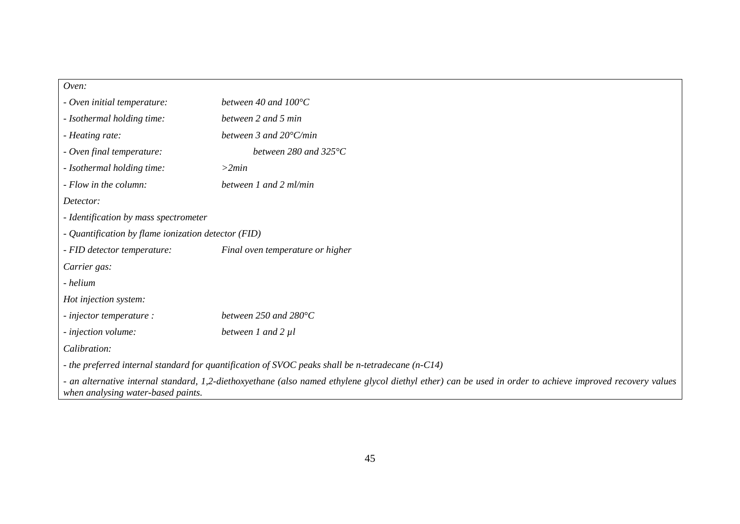#### *Oven:*

| - Oven initial temperature:                                                                                                                                                                      | between 40 and $100^{\circ}$ C                                                                    |  |
|--------------------------------------------------------------------------------------------------------------------------------------------------------------------------------------------------|---------------------------------------------------------------------------------------------------|--|
| - Isothermal holding time:                                                                                                                                                                       | between 2 and 5 min                                                                               |  |
| - Heating rate:                                                                                                                                                                                  | between 3 and $20^{\circ}$ C/min                                                                  |  |
| - Oven final temperature:                                                                                                                                                                        | between 280 and 325 $\degree$ C                                                                   |  |
| - Isothermal holding time:                                                                                                                                                                       | >2min                                                                                             |  |
| - Flow in the column:                                                                                                                                                                            | between 1 and 2 ml/min                                                                            |  |
| Detector:                                                                                                                                                                                        |                                                                                                   |  |
| - Identification by mass spectrometer                                                                                                                                                            |                                                                                                   |  |
| - Quantification by flame ionization detector (FID)                                                                                                                                              |                                                                                                   |  |
| - FID detector temperature:                                                                                                                                                                      | Final oven temperature or higher                                                                  |  |
| Carrier gas:                                                                                                                                                                                     |                                                                                                   |  |
| - helium                                                                                                                                                                                         |                                                                                                   |  |
| Hot injection system:                                                                                                                                                                            |                                                                                                   |  |
| - injector temperature :                                                                                                                                                                         | between 250 and $280^{\circ}$ C                                                                   |  |
| - injection volume:                                                                                                                                                                              | between $1$ and $2$ $\mu$ $l$                                                                     |  |
| Calibration:                                                                                                                                                                                     |                                                                                                   |  |
|                                                                                                                                                                                                  | - the preferred internal standard for quantification of SVOC peaks shall be n-tetradecane (n-C14) |  |
| - an alternative internal standard, 1,2-diethoxyethane (also named ethylene glycol diethyl ether) can be used in order to achieve improved recovery values<br>when analysing water-based paints. |                                                                                                   |  |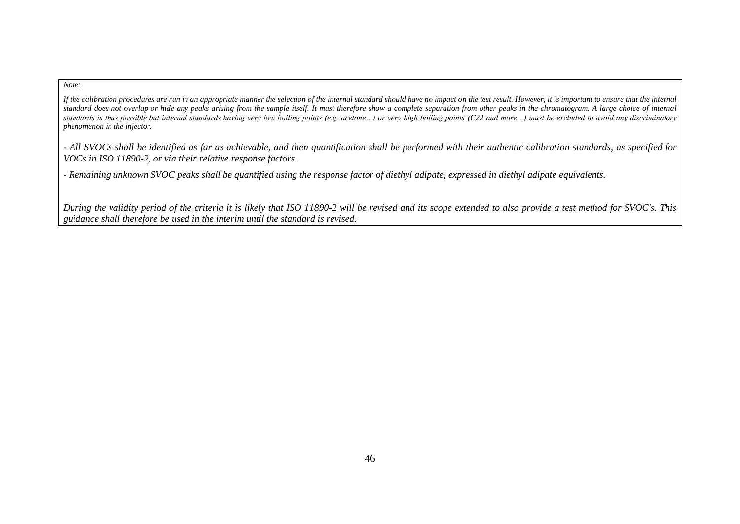#### *Note:*

If the calibration procedures are run in an appropriate manner the selection of the internal standard should have no impact on the test result. However, it is important to ensure that the internal *standard does not overlap or hide any peaks arising from the sample itself. It must therefore show a complete separation from other peaks in the chromatogram. A large choice of internal standards is thus possible but internal standards having very low boiling points (e.g. acetone…) or very high boiling points (C22 and more…) must be excluded to avoid any discriminatory phenomenon in the injector.* 

*- All SVOCs shall be identified as far as achievable, and then quantification shall be performed with their authentic calibration standards, as specified for VOCs in ISO 11890-2, or via their relative response factors.*

*- Remaining unknown SVOC peaks shall be quantified using the response factor of diethyl adipate, expressed in diethyl adipate equivalents.*

*During the validity period of the criteria it is likely that ISO 11890-2 will be revised and its scope extended to also provide a test method for SVOC's. This guidance shall therefore be used in the interim until the standard is revised.*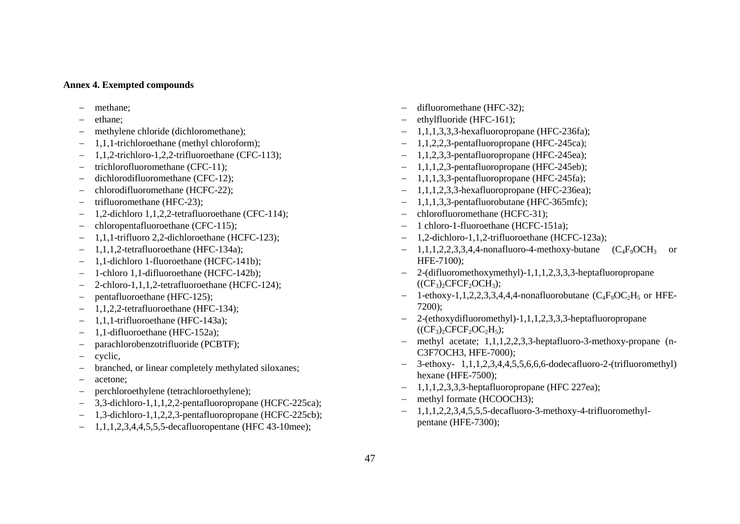#### **Annex 4. Exempted compounds**

- methane;
- ethane;
- methylene chloride (dichloromethane);
- 1,1,1-trichloroethane (methyl chloroform);
- 1,1,2-trichloro-1,2,2-trifluoroethane (CFC-113);
- trichlorofluoromethane (CFC-11);
- dichlorodifluoromethane (CFC-12);
- chlorodifluoromethane (HCFC-22);
- trifluoromethane (HFC-23);
- 1,2-dichloro 1,1,2,2-tetrafluoroethane (CFC-114);
- chloropentafluoroethane (CFC-115);
- 1,1,1-trifluoro 2,2-dichloroethane (HCFC-123);
- 1,1,1,2-tetrafluoroethane (HFC-134a);
- 1,1-dichloro 1-fluoroethane (HCFC-141b);
- 1-chloro 1,1-difluoroethane (HCFC-142b);
- 2-chloro-1,1,1,2-tetrafluoroethane (HCFC-124);
- pentafluoroethane (HFC-125);
- 1,1,2,2-tetrafluoroethane (HFC-134);
- 1,1,1-trifluoroethane (HFC-143a);
- 1,1-difluoroethane (HFC-152a);
- parachlorobenzotrifluoride (PCBTF);
- $-$  cyclic,
- branched, or linear completely methylated siloxanes;
- acetone;
- perchloroethylene (tetrachloroethylene);
- 3,3-dichloro-1,1,1,2,2-pentafluoropropane (HCFC-225ca);
- 1,3-dichloro-1,1,2,2,3-pentafluoropropane (HCFC-225cb);
- $-1,1,1,2,3,4,4,5,5,5$ -decafluoropentane (HFC 43-10mee);
- difluoromethane (HFC-32);
- ethylfluoride (HFC-161);
- 1,1,1,3,3,3-hexafluoropropane (HFC-236fa);
- $-1,1,2,2,3$ -pentafluoropropane (HFC-245ca);
- 1,1,2,3,3-pentafluoropropane (HFC-245ea);
- $-1,1,1,2,3$ -pentafluoropropane (HFC-245eb);
- $-1,1,1,3,3$ -pentafluoropropane (HFC-245fa);
- 1,1,1,2,3,3-hexafluoropropane (HFC-236ea);
- $-1,1,1,3,3$ -pentafluorobutane (HFC-365mfc);
- chlorofluoromethane (HCFC-31);
- 1 chloro-1-fluoroethane (HCFC-151a);
- 1,2-dichloro-1,1,2-trifluoroethane (HCFC-123a);
- $-1,1,1,2,2,3,3,4,4$ -nonafluoro-4-methoxy-butane  $(C_4F_9OCH_3$  or HFE-7100);
- 2-(difluoromethoxymethyl)-1,1,1,2,3,3,3-heptafluoropropane  $((CF<sub>3</sub>)<sub>2</sub>CFCF<sub>2</sub>OCH<sub>3</sub>);$
- 1-ethoxy-1,1,2,2,3,3,4,4,4-nonafluorobutane  $(C_4F_9OC_2H_5$  or HFE-7200);
- 2-(ethoxydifluoromethyl)-1,1,1,2,3,3,3-heptafluoropropane  $((CF_3)_2CFCF_2OC_2H_5);$
- methyl acetate; 1,1,1,2,2,3,3-heptafluoro-3-methoxy-propane (n-C3F7OCH3, HFE-7000);
- $-$  3-ethoxy- 1,1,1,2,3,4,4,5,5,6,6,6-dodecafluoro-2-(trifluoromethyl) hexane (HFE-7500);
- $-1,1,1,2,3,3,3$ -heptafluoropropane (HFC 227ea);
- methyl formate (HCOOCH3);
- $-1,1,1,2,2,3,4,5,5,5$ -decafluoro-3-methoxy-4-trifluoromethylpentane (HFE-7300);